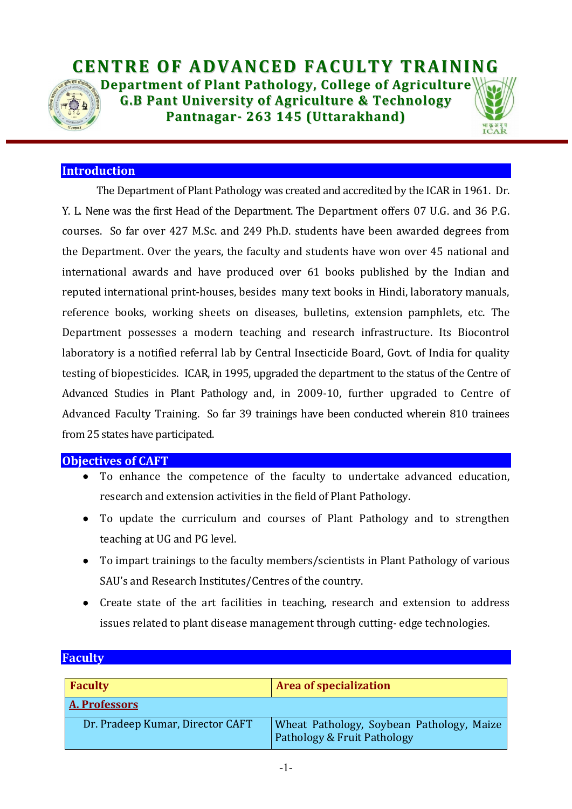

### **Introduction**

The Department of Plant Pathology was created and accredited by the ICAR in 1961. Dr. Y. L. Nene was the first Head of the Department. The Department offers 07 U.G. and 36 P.G. courses. So far over 427 M.Sc. and 249 Ph.D. students have been awarded degrees from the Department. Over the years, the faculty and students have won over 45 national and international awards and have produced over 61 books published by the Indian and reputed international print-houses, besides many text books in Hindi, laboratory manuals, reference books, working sheets on diseases, bulletins, extension pamphlets, etc. The Department possesses a modern teaching and research infrastructure. Its Biocontrol laboratory is a notified referral lab by Central Insecticide Board, Govt. of India for quality testing of biopesticides. ICAR, in 1995, upgraded the department to the status of the Centre of Advanced Studies in Plant Pathology and, in 2009-10, further upgraded to Centre of Advanced Faculty Training. So far 39 trainings have been conducted wherein 810 trainees from 25 states have participated.

#### Objectives of CAFT

- To enhance the competence of the faculty to undertake advanced education, research and extension activities in the field of Plant Pathology.
- To update the curriculum and courses of Plant Pathology and to strengthen teaching at UG and PG level.
- To impart trainings to the faculty members/scientists in Plant Pathology of various SAU's and Research Institutes/Centres of the country.
- Create state of the art facilities in teaching, research and extension to address issues related to plant disease management through cutting- edge technologies.

| <b>Faculty</b>                   | <b>Area of specialization</b>                                            |  |  |  |
|----------------------------------|--------------------------------------------------------------------------|--|--|--|
| A. Professors                    |                                                                          |  |  |  |
| Dr. Pradeep Kumar, Director CAFT | Wheat Pathology, Soybean Pathology, Maize<br>Pathology & Fruit Pathology |  |  |  |

## **Faculty**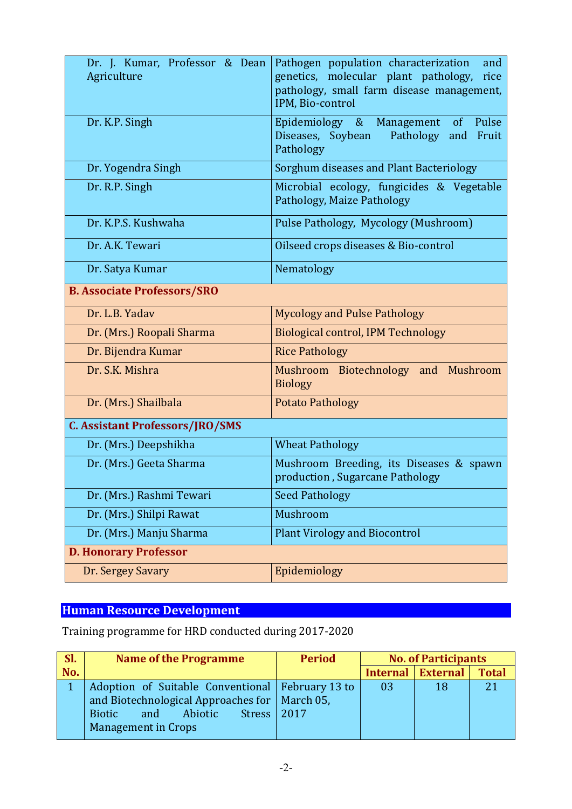| Dr. J. Kumar, Professor & Dean<br>Agriculture | Pathogen population characterization<br>and<br>genetics, molecular plant pathology,<br>rice<br>pathology, small farm disease management,<br>IPM, Bio-control |  |  |  |
|-----------------------------------------------|--------------------------------------------------------------------------------------------------------------------------------------------------------------|--|--|--|
| Dr. K.P. Singh                                | Epidemiology & Management of Pulse<br>Diseases, Soybean<br>Pathology and Fruit<br>Pathology                                                                  |  |  |  |
| Dr. Yogendra Singh                            | Sorghum diseases and Plant Bacteriology                                                                                                                      |  |  |  |
| Dr. R.P. Singh                                | Microbial ecology, fungicides & Vegetable<br>Pathology, Maize Pathology                                                                                      |  |  |  |
| Dr. K.P.S. Kushwaha                           | Pulse Pathology, Mycology (Mushroom)                                                                                                                         |  |  |  |
| Dr. A.K. Tewari                               | Oilseed crops diseases & Bio-control                                                                                                                         |  |  |  |
| Dr. Satya Kumar                               | Nematology                                                                                                                                                   |  |  |  |
| <b>B. Associate Professors/SRO</b>            |                                                                                                                                                              |  |  |  |
| Dr. L.B. Yadav                                | <b>Mycology and Pulse Pathology</b>                                                                                                                          |  |  |  |
| Dr. (Mrs.) Roopali Sharma                     | <b>Biological control, IPM Technology</b>                                                                                                                    |  |  |  |
| Dr. Bijendra Kumar                            | <b>Rice Pathology</b>                                                                                                                                        |  |  |  |
| Dr. S.K. Mishra                               | Mushroom Biotechnology and Mushroom<br><b>Biology</b>                                                                                                        |  |  |  |
| Dr. (Mrs.) Shailbala                          | <b>Potato Pathology</b>                                                                                                                                      |  |  |  |
| <b>C. Assistant Professors/JRO/SMS</b>        |                                                                                                                                                              |  |  |  |
| Dr. (Mrs.) Deepshikha                         | <b>Wheat Pathology</b>                                                                                                                                       |  |  |  |
| Dr. (Mrs.) Geeta Sharma                       | Mushroom Breeding, its Diseases & spawn<br>production, Sugarcane Pathology                                                                                   |  |  |  |
| Dr. (Mrs.) Rashmi Tewari                      | <b>Seed Pathology</b>                                                                                                                                        |  |  |  |
| Dr. (Mrs.) Shilpi Rawat                       | Mushroom                                                                                                                                                     |  |  |  |
| Dr. (Mrs.) Manju Sharma                       | <b>Plant Virology and Biocontrol</b>                                                                                                                         |  |  |  |
| <b>D. Honorary Professor</b>                  |                                                                                                                                                              |  |  |  |
| Dr. Sergey Savary                             | Epidemiology                                                                                                                                                 |  |  |  |

# Human Resource Development

Training programme for HRD conducted during 2017-2020

| $\mathsf{SI.}$ | <b>Name of the Programme</b>                       | <b>Period</b> | <b>No. of Participants</b> |                 |              |
|----------------|----------------------------------------------------|---------------|----------------------------|-----------------|--------------|
| No.            |                                                    |               | Internal                   | <b>External</b> | <b>Total</b> |
|                | Adoption of Suitable Conventional   February 13 to |               | 03                         | 18              |              |
|                | and Biotechnological Approaches for   March 05,    |               |                            |                 |              |
|                | Abiotic<br><b>Stress</b><br><b>Biotic</b><br>and   | 2017          |                            |                 |              |
|                | Management in Crops                                |               |                            |                 |              |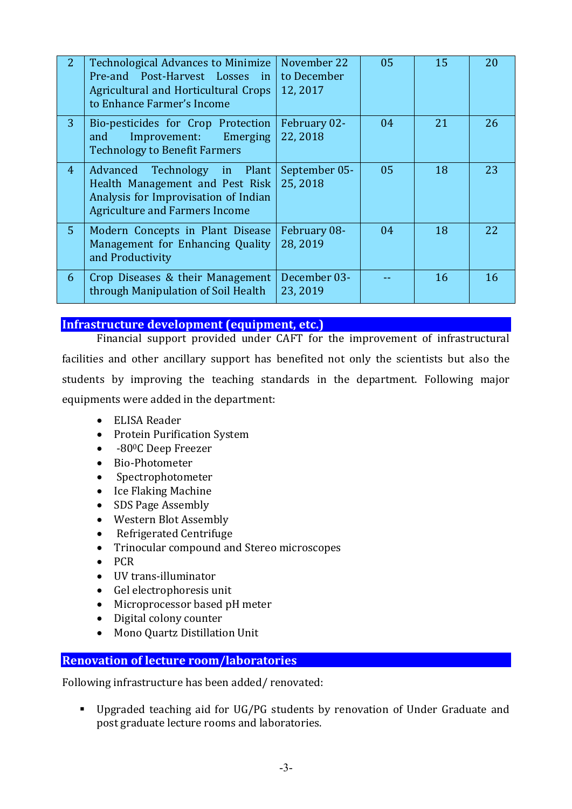| $\overline{2}$ | <b>Technological Advances to Minimize</b><br>Pre-and Post-Harvest Losses in<br>Agricultural and Horticultural Crops<br>to Enhance Farmer's Income | November 22<br>to December<br>12,2017 | 05 | 15 | 20 |
|----------------|---------------------------------------------------------------------------------------------------------------------------------------------------|---------------------------------------|----|----|----|
| $\overline{3}$ | Bio-pesticides for Crop Protection<br>Improvement: Emerging<br>and<br><b>Technology to Benefit Farmers</b>                                        | February 02-<br>22, 2018              | 04 | 21 | 26 |
| 4 <sup>1</sup> | Advanced Technology in Plant<br>Health Management and Pest Risk<br>Analysis for Improvisation of Indian<br><b>Agriculture and Farmers Income</b>  | September 05-<br>25, 2018             | 05 | 18 | 23 |
| 5 <sup>1</sup> | Modern Concepts in Plant Disease<br>Management for Enhancing Quality<br>and Productivity                                                          | February 08-<br>28, 2019              | 04 | 18 | 22 |
| 6              | Crop Diseases & their Management<br>through Manipulation of Soil Health                                                                           | December 03-<br>23, 2019              |    | 16 | 16 |

#### Infrastructure development (equipment, etc.)

Financial support provided under CAFT for the improvement of infrastructural facilities and other ancillary support has benefited not only the scientists but also the students by improving the teaching standards in the department. Following major equipments were added in the department:

- ELISA Reader
- Protein Purification System
- -80<sup>o</sup>C Deep Freezer
- Bio-Photometer
- Spectrophotometer
- Ice Flaking Machine
- SDS Page Assembly
- Western Blot Assembly
- Refrigerated Centrifuge
- Trinocular compound and Stereo microscopes
- $\bullet$  PCR
- UV trans-illuminator
- Gel electrophoresis unit
- Microprocessor based pH meter
- Digital colony counter
- Mono Quartz Distillation Unit

## Renovation of lecture room/laboratories

Following infrastructure has been added/ renovated:

 Upgraded teaching aid for UG/PG students by renovation of Under Graduate and post graduate lecture rooms and laboratories.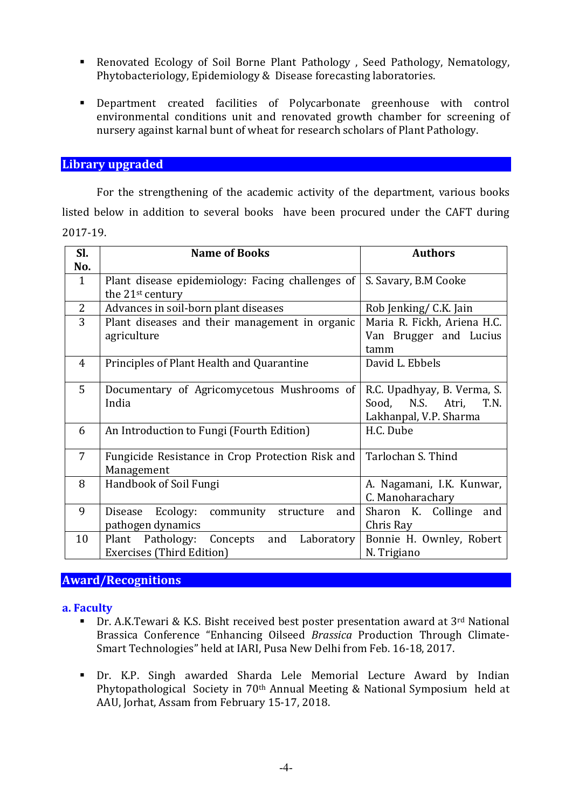- Renovated Ecology of Soil Borne Plant Pathology , Seed Pathology, Nematology, Phytobacteriology, Epidemiology & Disease forecasting laboratories.
- Department created facilities of Polycarbonate greenhouse with control environmental conditions unit and renovated growth chamber for screening of nursery against karnal bunt of wheat for research scholars of Plant Pathology.

### Library upgraded

For the strengthening of the academic activity of the department, various books listed below in addition to several books have been procured under the CAFT during 2017-19.

| Sl.            | <b>Name of Books</b>                                 | <b>Authors</b>              |  |  |
|----------------|------------------------------------------------------|-----------------------------|--|--|
| No.            |                                                      |                             |  |  |
| $\mathbf{1}$   | Plant disease epidemiology: Facing challenges of     | S. Savary, B.M Cooke        |  |  |
|                | the 21 <sup>st</sup> century                         |                             |  |  |
| $\overline{2}$ | Advances in soil-born plant diseases                 | Rob Jenking/ C.K. Jain      |  |  |
| 3              | Plant diseases and their management in organic       | Maria R. Fickh, Ariena H.C. |  |  |
|                | agriculture                                          | Van Brugger and Lucius      |  |  |
|                |                                                      | tamm                        |  |  |
| $\overline{4}$ | Principles of Plant Health and Quarantine            | David L. Ebbels             |  |  |
|                |                                                      |                             |  |  |
| 5              | Documentary of Agricomycetous Mushrooms of           | R.C. Upadhyay, B. Verma, S. |  |  |
|                | India                                                | Sood, N.S. Atri,<br>T.N.    |  |  |
|                |                                                      | Lakhanpal, V.P. Sharma      |  |  |
| 6              | An Introduction to Fungi (Fourth Edition)            | H.C. Dube                   |  |  |
|                |                                                      |                             |  |  |
| 7              | Fungicide Resistance in Crop Protection Risk and     | Tarlochan S. Thind          |  |  |
|                | Management                                           |                             |  |  |
| 8              | Handbook of Soil Fungi                               | A. Nagamani, I.K. Kunwar,   |  |  |
|                |                                                      | C. Manoharachary            |  |  |
| 9              | Disease<br>Ecology:<br>community<br>and<br>structure | Sharon K. Collinge<br>and   |  |  |
|                | pathogen dynamics                                    | Chris Ray                   |  |  |
| 10             | Plant Pathology:<br>Concepts<br>and<br>Laboratory    | Bonnie H. Ownley, Robert    |  |  |
|                | Exercises (Third Edition)                            | N. Trigiano                 |  |  |

#### Award/Recognitions

#### a. Faculty

- Dr. A.K.Tewari & K.S. Bisht received best poster presentation award at 3<sup>rd</sup> National Brassica Conference "Enhancing Oilseed *Brassica* Production Through Climate-Smart Technologies" held at IARI, Pusa New Delhi from Feb. 16-18, 2017.
- Dr. K.P. Singh awarded Sharda Lele Memorial Lecture Award by Indian Phytopathological Society in 70th Annual Meeting & National Symposium held at AAU, Jorhat, Assam from February 15-17, 2018.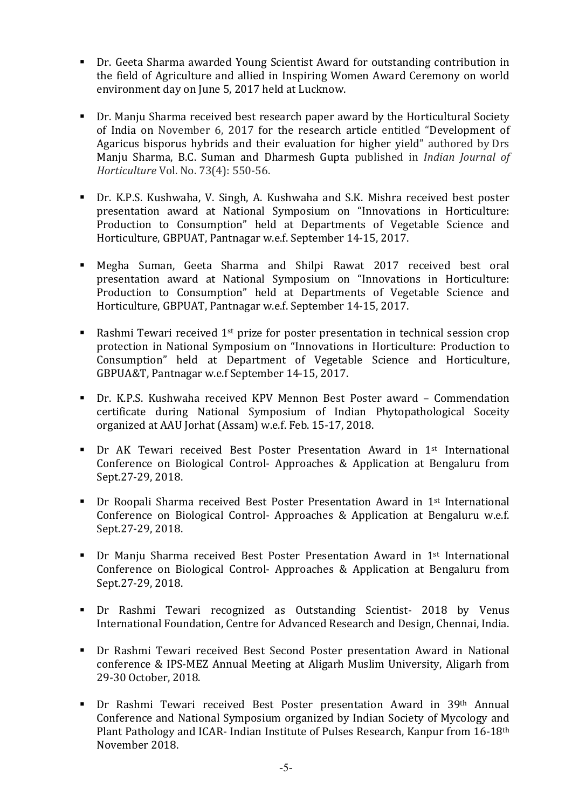- Dr. Geeta Sharma awarded Young Scientist Award for outstanding contribution in the field of Agriculture and allied in Inspiring Women Award Ceremony on world environment day on June 5, 2017 held at Lucknow.
- Dr. Manju Sharma received best research paper award by the Horticultural Society of India on November 6, 2017 for the research article entitled "Development of Agaricus bisporus hybrids and their evaluation for higher yield" authored by Drs Manju Sharma, B.C. Suman and Dharmesh Gupta published in *Indian Journal of Horticulture* Vol. No. 73(4): 550-56.
- Dr. K.P.S. Kushwaha, V. Singh, A. Kushwaha and S.K. Mishra received best poster presentation award at National Symposium on "Innovations in Horticulture: Production to Consumption" held at Departments of Vegetable Science and Horticulture, GBPUAT, Pantnagar w.e.f. September 14-15, 2017.
- Megha Suman, Geeta Sharma and Shilpi Rawat 2017 received best oral presentation award at National Symposium on "Innovations in Horticulture: Production to Consumption" held at Departments of Vegetable Science and Horticulture, GBPUAT, Pantnagar w.e.f. September 14-15, 2017.
- Rashmi Tewari received  $1^{st}$  prize for poster presentation in technical session crop protection in National Symposium on "Innovations in Horticulture: Production to Consumption" held at Department of Vegetable Science and Horticulture, GBPUA&T, Pantnagar w.e.f September 14-15, 2017.
- Dr. K.P.S. Kushwaha received KPV Mennon Best Poster award Commendation certificate during National Symposium of Indian Phytopathological Soceity organized at AAU Jorhat (Assam) w.e.f. Feb. 15-17, 2018.
- Dr AK Tewari received Best Poster Presentation Award in 1st International Conference on Biological Control- Approaches & Application at Bengaluru from Sept.27-29, 2018.
- Dr Roopali Sharma received Best Poster Presentation Award in 1st International Conference on Biological Control- Approaches & Application at Bengaluru w.e.f. Sept.27-29, 2018.
- Dr Manju Sharma received Best Poster Presentation Award in 1st International Conference on Biological Control- Approaches & Application at Bengaluru from Sept.27-29, 2018.
- **Dr Rashmi Tewari recognized as Outstanding Scientist- 2018 by Venus** International Foundation, Centre for Advanced Research and Design, Chennai, India.
- Dr Rashmi Tewari received Best Second Poster presentation Award in National conference & IPS-MEZ Annual Meeting at Aligarh Muslim University, Aligarh from 29-30 October, 2018.
- Dr Rashmi Tewari received Best Poster presentation Award in 39th Annual Conference and National Symposium organized by Indian Society of Mycology and Plant Pathology and ICAR- Indian Institute of Pulses Research, Kanpur from 16-18th November 2018.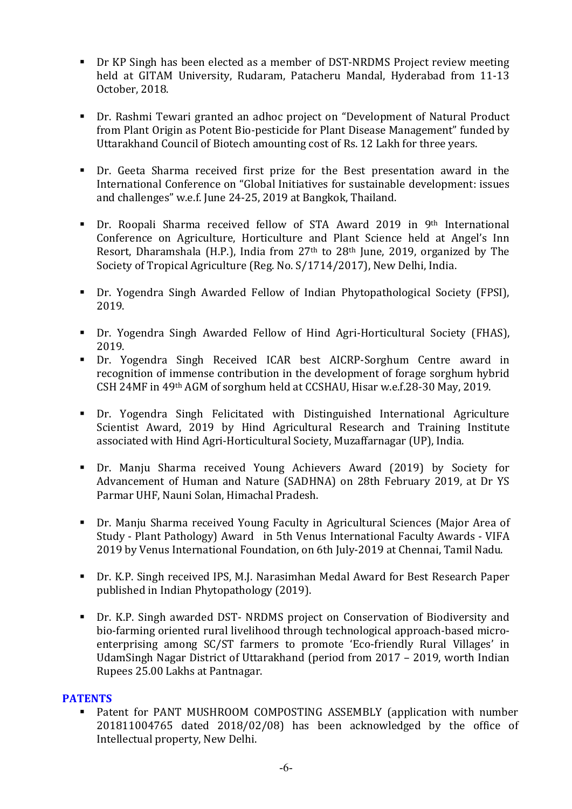- Dr KP Singh has been elected as a member of DST-NRDMS Project review meeting held at GITAM University, Rudaram, Patacheru Mandal, Hyderabad from 11-13 October, 2018.
- Dr. Rashmi Tewari granted an adhoc project on "Development of Natural Product from Plant Origin as Potent Bio-pesticide for Plant Disease Management" funded by Uttarakhand Council of Biotech amounting cost of Rs. 12 Lakh for three years.
- Dr. Geeta Sharma received first prize for the Best presentation award in the International Conference on "Global Initiatives for sustainable development: issues and challenges" w.e.f. June 24-25, 2019 at Bangkok, Thailand.
- Dr. Roopali Sharma received fellow of STA Award 2019 in 9th International Conference on Agriculture, Horticulture and Plant Science held at Angel's Inn Resort, Dharamshala (H.P.), India from 27th to 28th June, 2019, organized by The Society of Tropical Agriculture (Reg. No. S/1714/2017), New Delhi, India.
- Dr. Yogendra Singh Awarded Fellow of Indian Phytopathological Society (FPSI), 2019.
- Dr. Yogendra Singh Awarded Fellow of Hind Agri-Horticultural Society (FHAS), 2019.
- Dr. Yogendra Singh Received ICAR best AICRP-Sorghum Centre award in recognition of immense contribution in the development of forage sorghum hybrid CSH 24MF in 49th AGM of sorghum held at CCSHAU, Hisar w.e.f.28-30 May, 2019.
- Dr. Yogendra Singh Felicitated with Distinguished International Agriculture Scientist Award, 2019 by Hind Agricultural Research and Training Institute associated with Hind Agri-Horticultural Society, Muzaffarnagar (UP), India.
- Dr. Manju Sharma received Young Achievers Award (2019) by Society for Advancement of Human and Nature (SADHNA) on 28th February 2019, at Dr YS Parmar UHF, Nauni Solan, Himachal Pradesh.
- Dr. Manju Sharma received Young Faculty in Agricultural Sciences (Major Area of Study - Plant Pathology) Award in 5th Venus International Faculty Awards - VIFA 2019 by Venus International Foundation, on 6th July-2019 at Chennai, Tamil Nadu.
- Dr. K.P. Singh received IPS, M.J. Narasimhan Medal Award for Best Research Paper published in Indian Phytopathology (2019).
- Dr. K.P. Singh awarded DST- NRDMS project on Conservation of Biodiversity and bio-farming oriented rural livelihood through technological approach-based microenterprising among SC/ST farmers to promote 'Eco-friendly Rural Villages' in UdamSingh Nagar District of Uttarakhand (period from 2017 – 2019, worth Indian Rupees 25.00 Lakhs at Pantnagar.

## **PATENTS**

 Patent for PANT MUSHROOM COMPOSTING ASSEMBLY (application with number 201811004765 dated 2018/02/08) has been acknowledged by the office of Intellectual property, New Delhi.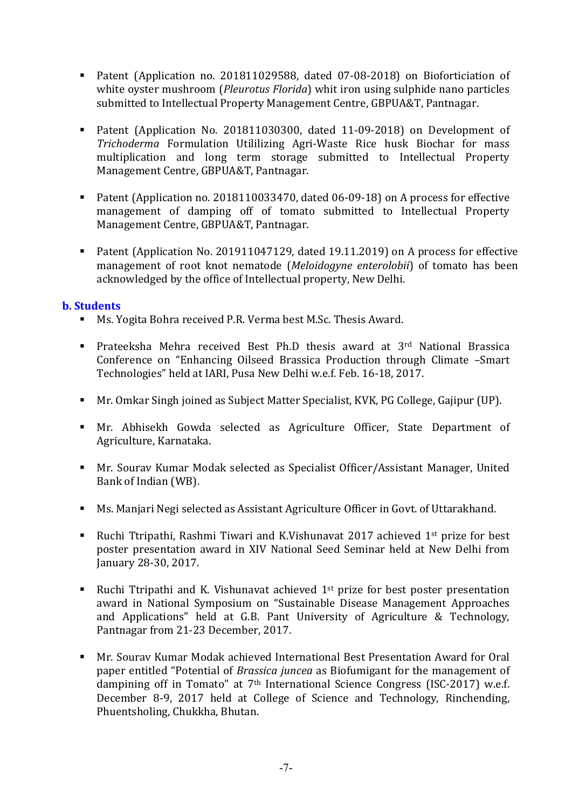- Patent (Application no. 201811029588, dated 07-08-2018) on Bioforticiation of white oyster mushroom (*Pleurotus Florida*) whit iron using sulphide nano particles submitted to Intellectual Property Management Centre, GBPUA&T, Pantnagar.
- Patent (Application No. 201811030300, dated 11-09-2018) on Development of *Trichoderma* Formulation Utililizing Agri-Waste Rice husk Biochar for mass multiplication and long term storage submitted to Intellectual Property Management Centre, GBPUA&T, Pantnagar.
- Patent (Application no. 2018110033470, dated 06-09-18) on A process for effective management of damping off of tomato submitted to Intellectual Property Management Centre, GBPUA&T, Pantnagar.
- Patent (Application No. 201911047129, dated 19.11.2019) on A process for effective management of root knot nematode (*Meloidogyne enterolobii*) of tomato has been acknowledged by the office of Intellectual property, New Delhi.

### b. Students

- Ms. Yogita Bohra received P.R. Verma best M.Sc. Thesis Award.
- **•** Prateeksha Mehra received Best Ph.D thesis award at 3<sup>rd</sup> National Brassica Conference on "Enhancing Oilseed Brassica Production through Climate –Smart Technologies" held at IARI, Pusa New Delhi w.e.f. Feb. 16-18, 2017.
- Mr. Omkar Singh joined as Subject Matter Specialist, KVK, PG College, Gajipur (UP).
- Mr. Abhisekh Gowda selected as Agriculture Officer, State Department of Agriculture, Karnataka.
- Mr. Sourav Kumar Modak selected as Specialist Officer/Assistant Manager, United Bank of Indian (WB).
- Ms. Manjari Negi selected as Assistant Agriculture Officer in Govt. of Uttarakhand.
- **Ruchi Ttripathi, Rashmi Tiwari and K.Vishunavat 2017 achieved 1st prize for best** poster presentation award in XIV National Seed Seminar held at New Delhi from January 28-30, 2017.
- **Ruchi Ttripathi and K. Vishunavat achieved**  $1<sup>st</sup>$  **prize for best poster presentation** award in National Symposium on "Sustainable Disease Management Approaches and Applications" held at G.B. Pant University of Agriculture & Technology, Pantnagar from 21-23 December, 2017.
- Mr. Sourav Kumar Modak achieved International Best Presentation Award for Oral paper entitled "Potential of *Brassica juncea* as Biofumigant for the management of dampining off in Tomato" at 7<sup>th</sup> International Science Congress (ISC-2017) w.e.f. December 8-9, 2017 held at College of Science and Technology, Rinchending, Phuentsholing, Chukkha, Bhutan.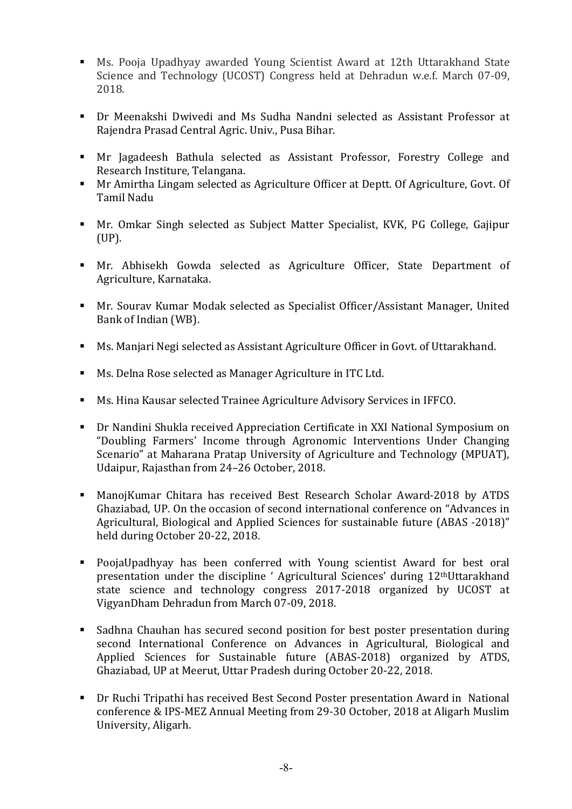- Ms. Pooja Upadhyay awarded Young Scientist Award at 12th Uttarakhand State Science and Technology (UCOST) Congress held at Dehradun w.e.f. March 07-09, 2018.
- Dr Meenakshi Dwivedi and Ms Sudha Nandni selected as Assistant Professor at Rajendra Prasad Central Agric. Univ., Pusa Bihar.
- Mr Jagadeesh Bathula selected as Assistant Professor, Forestry College and Research Institure, Telangana.
- Mr Amirtha Lingam selected as Agriculture Officer at Deptt. Of Agriculture, Govt. Of Tamil Nadu
- Mr. Omkar Singh selected as Subject Matter Specialist, KVK, PG College, Gajipur (UP).
- Mr. Abhisekh Gowda selected as Agriculture Officer, State Department of Agriculture, Karnataka.
- Mr. Sourav Kumar Modak selected as Specialist Officer/Assistant Manager, United Bank of Indian (WB).
- Ms. Manjari Negi selected as Assistant Agriculture Officer in Govt. of Uttarakhand.
- Ms. Delna Rose selected as Manager Agriculture in ITC Ltd.
- Ms. Hina Kausar selected Trainee Agriculture Advisory Services in IFFCO.
- Dr Nandini Shukla received Appreciation Certificate in XXI National Symposium on "Doubling Farmers' Income through Agronomic Interventions Under Changing Scenario" at Maharana Pratap University of Agriculture and Technology (MPUAT), Udaipur, Rajasthan from 24–26 October, 2018.
- ManojKumar Chitara has received Best Research Scholar Award-2018 by ATDS Ghaziabad, UP. On the occasion of second international conference on "Advances in Agricultural, Biological and Applied Sciences for sustainable future (ABAS -2018)" held during October 20-22, 2018.
- PoojaUpadhyay has been conferred with Young scientist Award for best oral presentation under the discipline ' Agricultural Sciences' during 12thUttarakhand state science and technology congress 2017-2018 organized by UCOST at VigyanDham Dehradun from March 07-09, 2018.
- Sadhna Chauhan has secured second position for best poster presentation during second International Conference on Advances in Agricultural, Biological and Applied Sciences for Sustainable future (ABAS-2018) organized by ATDS, Ghaziabad, UP at Meerut, Uttar Pradesh during October 20-22, 2018.
- Dr Ruchi Tripathi has received Best Second Poster presentation Award in National conference & IPS-MEZ Annual Meeting from 29-30 October, 2018 at Aligarh Muslim University, Aligarh.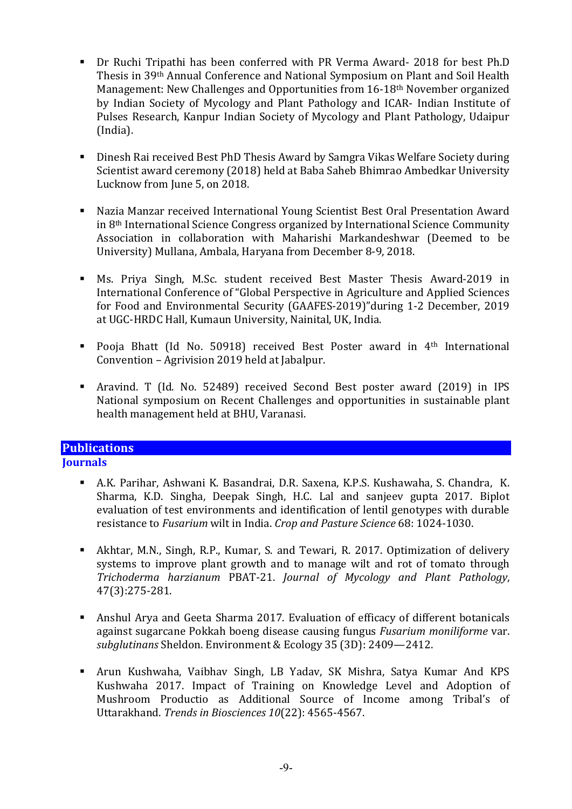- Dr Ruchi Tripathi has been conferred with PR Verma Award- 2018 for best Ph.D Thesis in 39th Annual Conference and National Symposium on Plant and Soil Health Management: New Challenges and Opportunities from 16-18<sup>th</sup> November organized by Indian Society of Mycology and Plant Pathology and ICAR- Indian Institute of Pulses Research, Kanpur Indian Society of Mycology and Plant Pathology, Udaipur (India).
- Dinesh Rai received Best PhD Thesis Award by Samgra Vikas Welfare Society during Scientist award ceremony (2018) held at Baba Saheb Bhimrao Ambedkar University Lucknow from June 5, on 2018.
- Nazia Manzar received International Young Scientist Best Oral Presentation Award in 8th International Science Congress organized by International Science Community Association in collaboration with Maharishi Markandeshwar (Deemed to be University) Mullana, Ambala, Haryana from December 8-9, 2018.
- Ms. Priya Singh, M.Sc. student received Best Master Thesis Award-2019 in International Conference of "Global Perspective in Agriculture and Applied Sciences for Food and Environmental Security (GAAFES-2019)"during 1-2 December, 2019 at UGC-HRDC Hall, Kumaun University, Nainital, UK, India.
- Pooja Bhatt (Id No. 50918) received Best Poster award in 4<sup>th</sup> International Convention – Agrivision 2019 held at Jabalpur.
- Aravind. T (Id. No. 52489) received Second Best poster award (2019) in IPS National symposium on Recent Challenges and opportunities in sustainable plant health management held at BHU, Varanasi.

# **Publications**

## **Journals**

- A.K. Parihar, Ashwani K. Basandrai, D.R. Saxena, K.P.S. Kushawaha, S. Chandra, K. Sharma, K.D. Singha, Deepak Singh, H.C. Lal and sanjeev gupta 2017. Biplot evaluation of test environments and identification of lentil genotypes with durable resistance to *Fusarium* wilt in India. *Crop and Pasture Science* 68: 1024-1030.
- Akhtar, M.N., Singh, R.P., Kumar, S. and Tewari, R. 2017. Optimization of delivery systems to improve plant growth and to manage wilt and rot of tomato through *Trichoderma harzianum* PBAT-21. *Journal of Mycology and Plant Pathology*, 47(3):275-281.
- Anshul Arya and Geeta Sharma 2017. Evaluation of efficacy of different botanicals against sugarcane Pokkah boeng disease causing fungus *Fusarium moniliforme* var. *subglutinans* Sheldon. Environment & Ecology 35 (3D): 2409—2412.
- Arun Kushwaha, Vaibhav Singh, LB Yadav, SK Mishra, Satya Kumar And KPS Kushwaha 2017. Impact of Training on Knowledge Level and Adoption of Mushroom Productio as Additional Source of Income among Tribal's of Uttarakhand. *Trends in Biosciences 10*(22): 4565-4567.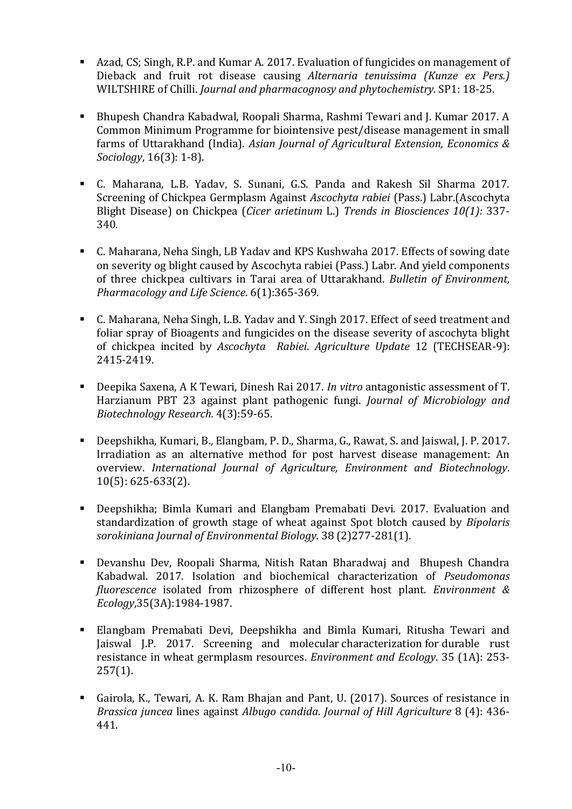- Azad, CS; Singh, R.P. and Kumar A. 2017. Evaluation of fungicides on management of Dieback and fruit rot disease causing *Alternaria tenuissima (Kunze ex Pers.)* WILTSHIRE of Chilli. *Journal and pharmacognosy and phytochemistry.* SP1: 18-25.
- Bhupesh Chandra Kabadwal, Roopali Sharma, Rashmi Tewari and J. Kumar 2017. A Common Minimum Programme for biointensive pest/disease management in small farms of Uttarakhand (India). *Asian Journal of Agricultural Extension, Economics & Sociology*, 16(3): 1-8).
- C. Maharana, L.B. Yadav, S. Sunani, G.S. Panda and Rakesh Sil Sharma 2017. Screening of Chickpea Germplasm Against *Ascochyta rabiei* (Pass.) Labr.(Ascochyta Blight Disease) on Chickpea (*Cicer arietinum* L.) *Trends in Biosciences 10(1):* 337- 340.
- C. Maharana, Neha Singh, LB Yadav and KPS Kushwaha 2017. Effects of sowing date on severity og blight caused by Ascochyta rabiei (Pass.) Labr. And yield components of three chickpea cultivars in Tarai area of Uttarakhand. *Bulletin of Environment, Pharmacology and Life Science*. 6(1):365-369.
- C. Maharana, Neha Singh, L.B. Yadav and Y. Singh 2017. Effect of seed treatment and foliar spray of Bioagents and fungicides on the disease severity of ascochyta blight of chickpea incited by *Ascochyta Rabiei*. *Agriculture Update* 12 (TECHSEAR-9): 2415-2419.
- Deepika Saxena, A K Tewari, Dinesh Rai 2017. *In vitro* antagonistic assessment of T. Harzianum PBT 23 against plant pathogenic fungi. *Journal of Microbiology and Biotechnology Research.* 4(3):59-65.
- Deepshikha, Kumari, B., Elangbam, P. D., Sharma, G., Rawat, S. and Jaiswal, J. P. 2017. Irradiation as an alternative method for post harvest disease management: An overview. *International Journal of Agriculture, Environment and Biotechnology*. 10(5): 625-633(2).
- Deepshikha; Bimla Kumari and Elangbam Premabati Devi. 2017. Evaluation and standardization of growth stage of wheat against Spot blotch caused by *Bipolaris sorokiniana Journal of Environmental Biology.* 38 (2)277-281(1).
- Devanshu Dev, Roopali Sharma, Nitish Ratan Bharadwaj and Bhupesh Chandra Kabadwal. 2017. Isolation and biochemical characterization of *Pseudomonas fluorescence* isolated from rhizosphere of different host plant. *Environment & Ecology*,35(3A):1984-1987.
- Elangbam Premabati Devi, Deepshikha and Bimla Kumari, Ritusha Tewari and Jaiswal J.P. 2017. Screening and molecular characterization for durable rust resistance in wheat germplasm resources. *Environment and Ecology*. 35 (1A): 253-  $257(1)$ .
- Gairola, K., Tewari, A. K. Ram Bhajan and Pant, U. (2017). Sources of resistance in *Brassica juncea* lines against *Albugo candida*. *Journal of Hill Agriculture* 8 (4): 436- 441.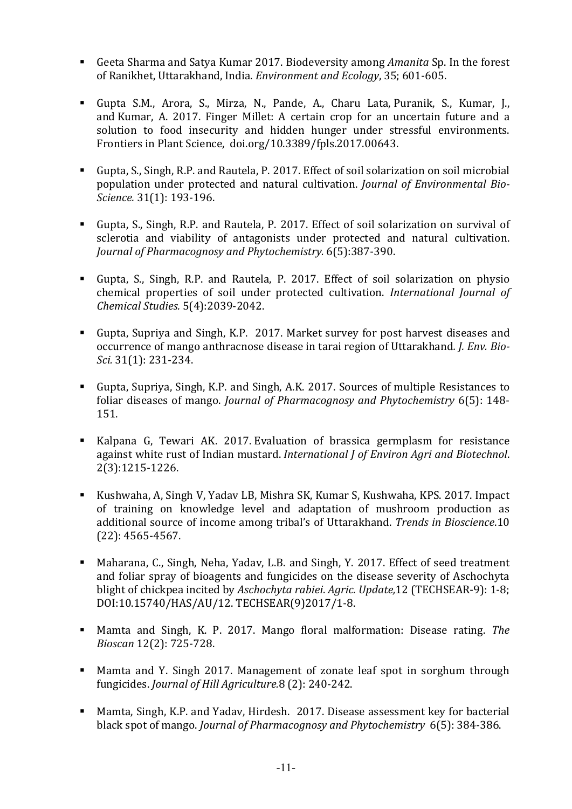- Geeta Sharma and Satya Kumar 2017. Biodeversity among *Amanita* Sp. In the forest of Ranikhet, Uttarakhand, India. *Environment and Ecology*, 35; 601-605.
- Gupta S.M., Arora, S., Mirza, N., Pande, A., Charu Lata, Puranik, S., Kumar, J., and Kumar, A. 2017. Finger Millet: A certain crop for an uncertain future and a solution to food insecurity and hidden hunger under stressful environments. Frontiers in Plant Science, doi.org/10.3389/fpls.2017.00643.
- Gupta, S., Singh, R.P. and Rautela, P. 2017. Effect of soil solarization on soil microbial population under protected and natural cultivation. *Journal of Environmental Bio-Science.* 31(1): 193-196.
- Gupta, S., Singh, R.P. and Rautela, P. 2017. Effect of soil solarization on survival of sclerotia and viability of antagonists under protected and natural cultivation. *Journal of Pharmacognosy and Phytochemistry.* 6(5):387-390.
- Gupta, S., Singh, R.P. and Rautela, P. 2017. Effect of soil solarization on physio chemical properties of soil under protected cultivation. *International Journal of Chemical Studies.* 5(4):2039-2042.
- Gupta, Supriya and Singh, K.P. 2017. Market survey for post harvest diseases and occurrence of mango anthracnose disease in tarai region of Uttarakhand*. J. Env. Bio-Sci.* 31(1): 231-234.
- Gupta, Supriya, Singh, K.P. and Singh, A.K. 2017. Sources of multiple Resistances to foliar diseases of mango. *Journal of Pharmacognosy and Phytochemistry* 6(5): 148- 151.
- Kalpana G, Tewari AK. 2017. Evaluation of brassica germplasm for resistance against white rust of Indian mustard. *International J of Environ Agri and Biotechnol*. 2(3):1215-1226.
- Kushwaha, A, Singh V, Yadav LB, Mishra SK, Kumar S, Kushwaha, KPS. 2017. Impact of training on knowledge level and adaptation of mushroom production as additional source of income among tribal's of Uttarakhand. *Trends in Bioscience*.10 (22): 4565-4567.
- Maharana, C., Singh, Neha, Yadav, L.B. and Singh, Y. 2017. Effect of seed treatment and foliar spray of bioagents and fungicides on the disease severity of Aschochyta blight of chickpea incited by *Aschochyta rabiei*. *Agric. Update,*12 (TECHSEAR-9): 1-8; DOI:10.15740/HAS/AU/12. TECHSEAR(9)2017/1-8.
- Mamta and Singh, K. P. 2017. Mango floral malformation: Disease rating. *The Bioscan* 12(2): 725-728.
- Mamta and Y. Singh 2017. Management of zonate leaf spot in sorghum through fungicides. *Journal of Hill Agriculture.*8 (2): 240-242.
- Mamta, Singh, K.P. and Yadav, Hirdesh. 2017. Disease assessment key for bacterial black spot of mango. *Journal of Pharmacognosy and Phytochemistry* 6(5): 384-386.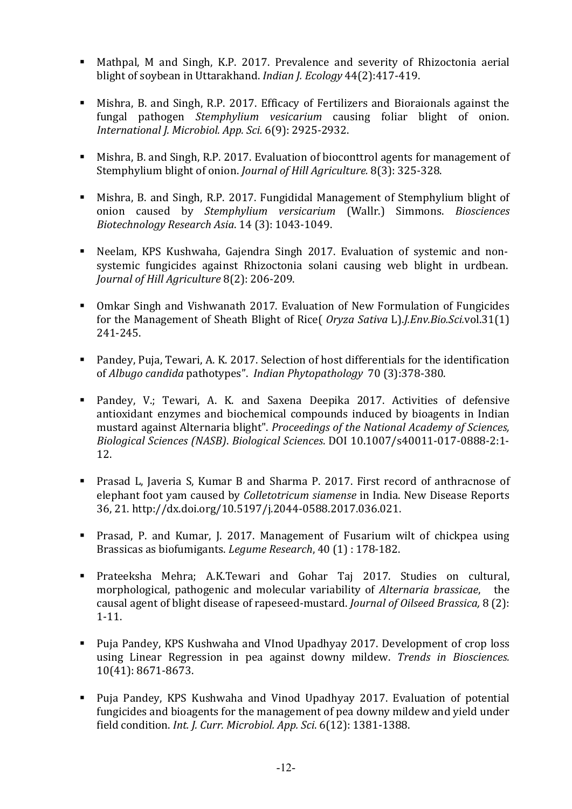- Mathpal, M and Singh, K.P. 2017. Prevalence and severity of Rhizoctonia aerial blight of soybean in Uttarakhand. *Indian J. Ecology* 44(2):417-419.
- Mishra, B. and Singh, R.P. 2017. Efficacy of Fertilizers and Bioraionals against the fungal pathogen *Stemphylium vesicarium* causing foliar blight of onion. *International J. Microbiol. App. Sci.* 6(9): 2925-2932.
- Mishra, B. and Singh, R.P. 2017. Evaluation of bioconttrol agents for management of Stemphylium blight of onion. *Journal of Hill Agriculture.* 8(3): 325-328.
- Mishra, B. and Singh, R.P. 2017. Fungididal Management of Stemphylium blight of onion caused by *Stemphylium versicarium* (Wallr.) Simmons. *Biosciences Biotechnology Research Asia*. 14 (3): 1043-1049.
- Neelam, KPS Kushwaha, Gajendra Singh 2017. Evaluation of systemic and nonsystemic fungicides against Rhizoctonia solani causing web blight in urdbean. *Journal of Hill Agriculture* 8(2): 206-209.
- Omkar Singh and Vishwanath 2017. Evaluation of New Formulation of Fungicides for the Management of Sheath Blight of Rice( *Oryza Sativa* L).*J.Env.Bio.Sci.*vol.31(1) 241-245.
- Pandey, Puja, Tewari, A. K. 2017. Selection of host differentials for the identification of *Albugo candida* pathotypes". *Indian Phytopathology* 70 (3):378-380.
- Pandey, V.; Tewari, A. K. and Saxena Deepika 2017. Activities of defensive antioxidant enzymes and biochemical compounds induced by bioagents in Indian mustard against Alternaria blight". *Proceedings of the National Academy of Sciences, Biological Sciences (NASB)*. *Biological Sciences*. DOI 10.1007/s40011-017-0888-2:1- 12.
- Prasad L, Javeria S, Kumar B and Sharma P. 2017. First record of anthracnose of elephant foot yam caused by *Colletotricum siamense* in India. New Disease Reports 36, 21. http://dx.doi.org/10.5197/j.2044-0588.2017.036.021.
- Prasad, P. and Kumar, J. 2017. Management of Fusarium wilt of chickpea using Brassicas as biofumigants. *Legume Research*, 40 (1) : 178-182.
- Prateeksha Mehra; A.K.Tewari and Gohar Taj 2017. Studies on cultural, morphological, pathogenic and molecular variability of *Alternaria brassicae*, the causal agent of blight disease of rapeseed-mustard. *Journal of Oilseed Brassica,* 8 (2): 1-11.
- Puja Pandey, KPS Kushwaha and VInod Upadhyay 2017. Development of crop loss using Linear Regression in pea against downy mildew. *Trends in Biosciences.* 10(41): 8671-8673.
- Puja Pandey, KPS Kushwaha and Vinod Upadhyay 2017. Evaluation of potential fungicides and bioagents for the management of pea downy mildew and yield under field condition. *Int. J. Curr. Microbiol. App. Sci*. 6(12): 1381-1388.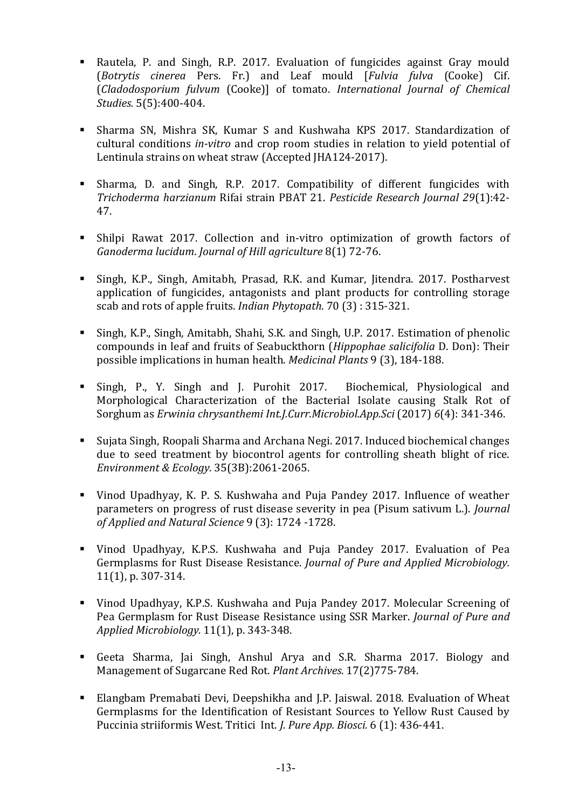- Rautela, P. and Singh, R.P. 2017. Evaluation of fungicides against Gray mould (*Botrytis cinerea* Pers. Fr.) and Leaf mould [*Fulvia fulva* (Cooke) Cif. (*Cladodosporium fulvum* (Cooke)] of tomato. *International Journal of Chemical Studies.* 5(5):400-404.
- Sharma SN, Mishra SK, Kumar S and Kushwaha KPS 2017. Standardization of cultural conditions *in-vitro* and crop room studies in relation to yield potential of Lentinula strains on wheat straw (Accepted JHA124-2017).
- Sharma, D. and Singh, R.P. 2017. Compatibility of different fungicides with *Trichoderma harzianum* Rifai strain PBAT 21. *Pesticide Research Journal 29*(1):42- 47.
- Shilpi Rawat 2017. Collection and in-vitro optimization of growth factors of *Ganoderma lucidum*. *Journal of Hill agriculture* 8(1) 72-76.
- Singh, K.P., Singh, Amitabh, Prasad, R.K. and Kumar, Jitendra. 2017. Postharvest application of fungicides, antagonists and plant products for controlling storage scab and rots of apple fruits. *Indian Phytopath*. 70 (3) : 315-321.
- Singh, K.P., Singh, Amitabh, Shahi, S.K. and Singh, U.P. 2017. Estimation of phenolic compounds in leaf and fruits of Seabuckthorn (*Hippophae salicifolia* D. Don): Their possible implications in human health. *Medicinal Plants* 9 (3), 184-188.
- Singh, P., Y. Singh and J. Purohit 2017. Biochemical, Physiological and Morphological Characterization of the Bacterial Isolate causing Stalk Rot of Sorghum as *Erwinia chrysanthemi Int.J.Curr.Microbiol.App.Sci* (2017) *6*(4): 341-346.
- Sujata Singh, Roopali Sharma and Archana Negi. 2017. Induced biochemical changes due to seed treatment by biocontrol agents for controlling sheath blight of rice. *Environment & Ecology*. 35(3B):2061-2065.
- Vinod Upadhyay, K. P. S. Kushwaha and Puja Pandey 2017. Influence of weather parameters on progress of rust disease severity in pea (Pisum sativum L.). *Journal of Applied and Natural Science* 9 (3): 1724 -1728.
- Vinod Upadhyay, K.P.S. Kushwaha and Puja Pandey 2017. Evaluation of Pea Germplasms for Rust Disease Resistance. *Journal of Pure and Applied Microbiology.* 11(1), p. 307-314.
- Vinod Upadhyay, K.P.S. Kushwaha and Puja Pandey 2017. Molecular Screening of Pea Germplasm for Rust Disease Resistance using SSR Marker. *Journal of Pure and Applied Microbiology.* 11(1), p. 343-348.
- Geeta Sharma, Jai Singh, Anshul Arya and S.R. Sharma 2017. Biology and Management of Sugarcane Red Rot. *Plant Archives*. 17(2)775-784.
- Elangbam Premabati Devi, Deepshikha and J.P. Jaiswal. 2018. Evaluation of Wheat Germplasms for the Identification of Resistant Sources to Yellow Rust Caused by Puccinia striiformis West. Tritici Int. *J. Pure App. Biosci.* 6 (1): 436-441.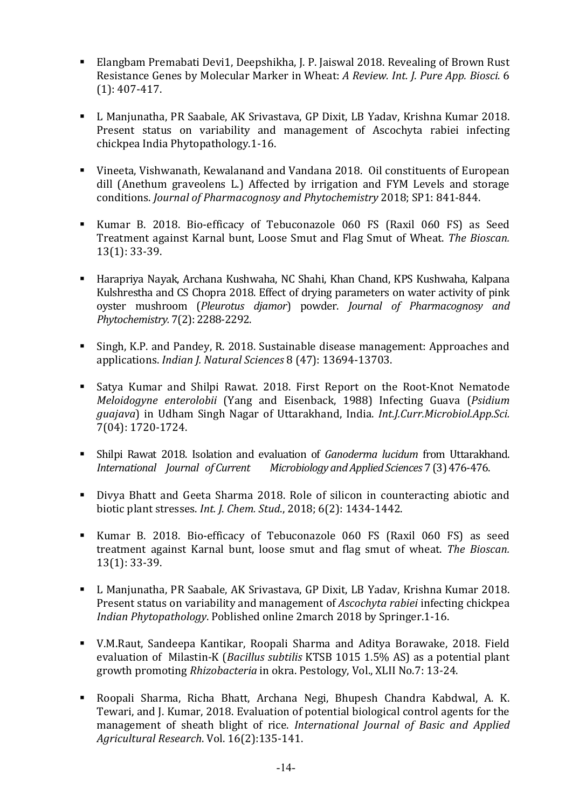- Elangbam Premabati Devi1, Deepshikha, J. P. Jaiswal 2018. Revealing of Brown Rust Resistance Genes by Molecular Marker in Wheat: *A Review. Int. J. Pure App. Biosci.* 6 (1): 407-417.
- L Manjunatha, PR Saabale, AK Srivastava, GP Dixit, LB Yadav, Krishna Kumar 2018. Present status on variability and management of Ascochyta rabiei infecting chickpea India Phytopathology.1-16.
- Vineeta, Vishwanath, Kewalanand and Vandana 2018. Oil constituents of European dill (Anethum graveolens L.) Affected by irrigation and FYM Levels and storage conditions. *Journal of Pharmacognosy and Phytochemistry* 2018; SP1: 841-844.
- Kumar B. 2018. Bio-efficacy of Tebuconazole 060 FS (Raxil 060 FS) as Seed Treatment against Karnal bunt, Loose Smut and Flag Smut of Wheat. *The Bioscan.* 13(1): 33-39.
- Harapriya Nayak, Archana Kushwaha, NC Shahi, Khan Chand, KPS Kushwaha, Kalpana Kulshrestha and CS Chopra 2018. Effect of drying parameters on water activity of pink oyster mushroom (*Pleurotus djamor*) powder. *Journal of Pharmacognosy and Phytochemistry.* 7(2): 2288-2292.
- Singh, K.P. and Pandey, R. 2018. Sustainable disease management: Approaches and applications. *Indian J. Natural Sciences* 8 (47): 13694-13703.
- Satya Kumar and Shilpi Rawat. 2018. First Report on the Root-Knot Nematode *Meloidogyne enterolobii* (Yang and Eisenback, 1988) Infecting Guava (*Psidium guajava*) in Udham Singh Nagar of Uttarakhand, India. *Int.J.Curr.Microbiol.App.Sci.*  7(04): 1720-1724.
- Shilpi Rawat 2018. Isolation and evaluation of *Ganoderma lucidum* from Uttarakhand. *International Journal of Current Microbiology and Applied Sciences* 7 (3) 476-476.
- Divya Bhatt and Geeta Sharma 2018. Role of silicon in counteracting abiotic and biotic plant stresses. *Int. J. Chem. Stud*., 2018; 6(2): 1434-1442.
- Kumar B. 2018. Bio-efficacy of Tebuconazole 060 FS (Raxil 060 FS) as seed treatment against Karnal bunt, loose smut and flag smut of wheat. *The Bioscan.* 13(1): 33-39.
- L Manjunatha, PR Saabale, AK Srivastava, GP Dixit, LB Yadav, Krishna Kumar 2018. Present status on variability and management of *Ascochyta rabiei* infecting chickpea *Indian Phytopathology*. Poblished online 2march 2018 by Springer.1-16.
- V.M.Raut, Sandeepa Kantikar, Roopali Sharma and Aditya Borawake, 2018. Field evaluation of Milastin-K (*Bacillus subtilis* KTSB 1015 1.5% AS) as a potential plant growth promoting *Rhizobacteria* in okra. Pestology, Vol., XLII No.7: 13-24.
- Roopali Sharma, Richa Bhatt, Archana Negi, Bhupesh Chandra Kabdwal, A. K. Tewari, and J. Kumar, 2018. Evaluation of potential biological control agents for the management of sheath blight of rice. *International Journal of Basic and Applied Agricultural Research*. Vol. 16(2):135-141.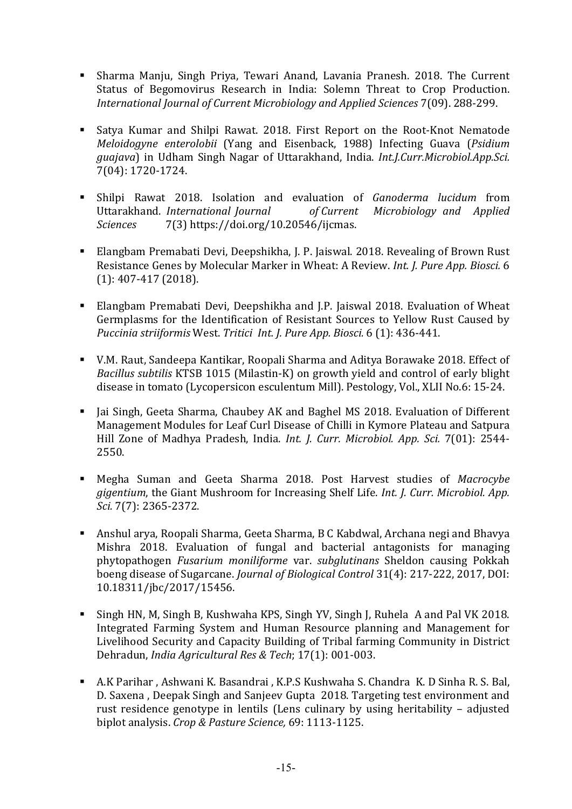- Sharma Manju, Singh Priya, Tewari Anand, Lavania Pranesh. 2018. The Current Status of Begomovirus Research in India: Solemn Threat to Crop Production. *International Journal of Current Microbiology and Applied Sciences* 7(09). 288-299.
- Satya Kumar and Shilpi Rawat. 2018. First Report on the Root-Knot Nematode *Meloidogyne enterolobii* (Yang and Eisenback, 1988) Infecting Guava (*Psidium guajava*) in Udham Singh Nagar of Uttarakhand, India. *Int.J.Curr.Microbiol.App.Sci.*  7(04): 1720-1724.
- Shilpi Rawat 2018. Isolation and evaluation of *Ganoderma lucidum* from Uttarakhand. *International Journal of Current Microbiology and Applied Sciences* 7(3) https://doi.org/10.20546/ijcmas.
- Elangbam Premabati Devi, Deepshikha, J. P. Jaiswal. 2018. Revealing of Brown Rust Resistance Genes by Molecular Marker in Wheat: A Review. *Int. J. Pure App. Biosci.* 6 (1): 407-417 (2018).
- Elangbam Premabati Devi, Deepshikha and J.P. Jaiswal 2018. Evaluation of Wheat Germplasms for the Identification of Resistant Sources to Yellow Rust Caused by *Puccinia striiformis* West. *Tritici Int. J. Pure App. Biosci.* 6 (1): 436-441.
- V.M. Raut, Sandeepa Kantikar, Roopali Sharma and Aditya Borawake 2018. Effect of *Bacillus subtilis* KTSB 1015 (Milastin-K) on growth yield and control of early blight disease in tomato (Lycopersicon esculentum Mill). Pestology, Vol., XLII No.6: 15-24.
- I Jai Singh, Geeta Sharma, Chaubey AK and Baghel MS 2018. Evaluation of Different Management Modules for Leaf Curl Disease of Chilli in Kymore Plateau and Satpura Hill Zone of Madhya Pradesh, India. *Int. J. Curr. Microbiol. App. Sci.* 7(01): 2544- 2550.
- Megha Suman and Geeta Sharma 2018. Post Harvest studies of *Macrocybe gigentium*, the Giant Mushroom for Increasing Shelf Life. *Int. J. Curr. Microbiol. App. Sci.* 7(7): 2365-2372.
- Anshul arya, Roopali Sharma, Geeta Sharma, B C Kabdwal, Archana negi and Bhavya Mishra 2018. Evaluation of fungal and bacterial antagonists for managing phytopathogen *Fusarium moniliforme* var. *subglutinans* Sheldon causing Pokkah boeng disease of Sugarcane. *Journal of Biological Control* 31(4): 217-222, 2017, DOI: 10.18311/jbc/2017/15456.
- Singh HN, M, Singh B, Kushwaha KPS, Singh YV, Singh J, Ruhela A and Pal VK 2018. Integrated Farming System and Human Resource planning and Management for Livelihood Security and Capacity Building of Tribal farming Community in District Dehradun, *India Agricultural Res & Tech*; 17(1): 001-003.
- A.K Parihar , Ashwani K. Basandrai , K.P.S Kushwaha S. Chandra K. D Sinha R. S. Bal, D. Saxena , Deepak Singh and Sanjeev Gupta 2018. Targeting test environment and rust residence genotype in lentils (Lens culinary by using heritability – adjusted biplot analysis. *Crop & Pasture Science,* 69: 1113-1125.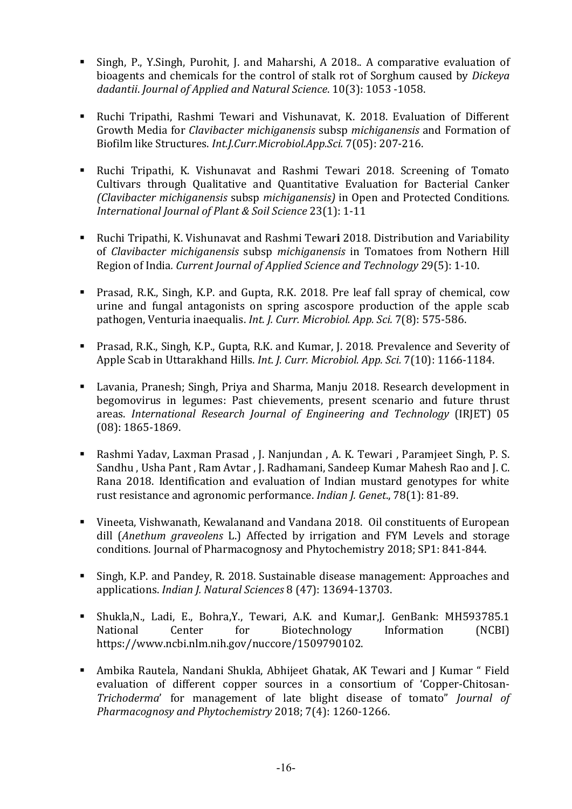- Singh, P., Y.Singh, Purohit, J. and Maharshi, A 2018.. A comparative evaluation of bioagents and chemicals for the control of stalk rot of Sorghum caused by *Dickeya dadantii*. *Journal of Applied and Natural Science*. 10(3): 1053 -1058.
- Ruchi Tripathi, Rashmi Tewari and Vishunavat, K. 2018. Evaluation of Different Growth Media for *Clavibacter michiganensis* subsp *michiganensis* and Formation of Biofilm like Structures. *Int.J.Curr.Microbiol.App.Sci.* 7(05): 207-216.
- Ruchi Tripathi, K. Vishunavat and Rashmi Tewari 2018. Screening of Tomato Cultivars through Qualitative and Quantitative Evaluation for Bacterial Canker *(Clavibacter michiganensis* subsp *michiganensis)* in Open and Protected Conditions*. International Journal of Plant & Soil Science* 23(1): 1-11
- Ruchi Tripathi, K. Vishunavat and Rashmi Tewari 2018. Distribution and Variability of *Clavibacter michiganensis* subsp *michiganensis* in Tomatoes from Nothern Hill Region of India*. Current Journal of Applied Science and Technology* 29(5): 1-10.
- Prasad, R.K., Singh, K.P. and Gupta, R.K. 2018. Pre leaf fall spray of chemical, cow urine and fungal antagonists on spring ascospore production of the apple scab pathogen, Venturia inaequalis. *Int. J. Curr. Microbiol. App. Sci.* 7(8): 575-586.
- Prasad, R.K., Singh, K.P., Gupta, R.K. and Kumar, J. 2018. Prevalence and Severity of Apple Scab in Uttarakhand Hills. *Int. J. Curr. Microbiol. App. Sci.* 7(10): 1166-1184.
- Lavania, Pranesh; Singh, Priya and Sharma, Manju 2018. Research development in begomovirus in legumes: Past chievements, present scenario and future thrust areas. *International Research Journal of Engineering and Technology* (IRJET) 05 (08): 1865-1869.
- Rashmi Yadav, Laxman Prasad , J. Nanjundan , A. K. Tewari , Paramjeet Singh, P. S. Sandhu , Usha Pant , Ram Avtar , J. Radhamani, Sandeep Kumar Mahesh Rao and J. C. Rana 2018. Identification and evaluation of Indian mustard genotypes for white rust resistance and agronomic performance. *Indian J. Genet*., 78(1): 81-89.
- Vineeta, Vishwanath, Kewalanand and Vandana 2018. Oil constituents of European dill (*Anethum graveolens* L.) Affected by irrigation and FYM Levels and storage conditions. Journal of Pharmacognosy and Phytochemistry 2018; SP1: 841-844.
- Singh, K.P. and Pandey, R. 2018. Sustainable disease management: Approaches and applications. *Indian J. Natural Sciences* 8 (47): 13694-13703.
- Shukla,N., Ladi, E., Bohra,Y., Tewari, A.K. and Kumar,J. GenBank: MH593785.1 National Center for Biotechnology Information (NCBI) https://www.ncbi.nlm.nih.gov/nuccore/1509790102.
- Ambika Rautela, Nandani Shukla, Abhijeet Ghatak, AK Tewari and J Kumar " Field evaluation of different copper sources in a consortium of 'Copper-Chitosan-*Trichoderma*' for management of late blight disease of tomato" *Journal of Pharmacognosy and Phytochemistry* 2018; 7(4): 1260-1266.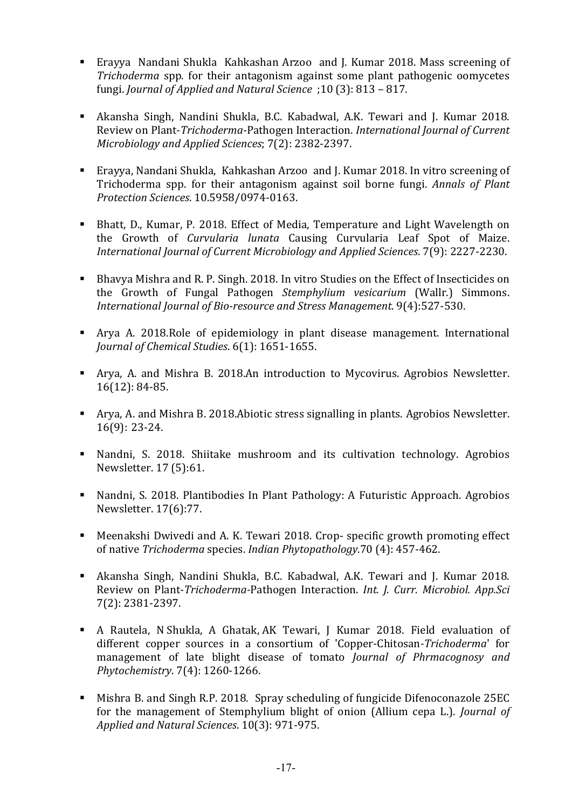- Erayya Nandani Shukla Kahkashan Arzoo and J. Kumar 2018. Mass screening of *Trichoderma* spp. for their antagonism against some plant pathogenic oomycetes fungi. *Journal of Applied and Natural Science* ;10 (3): 813 – 817.
- Akansha Singh, Nandini Shukla, B.C. Kabadwal, A.K. Tewari and J. Kumar 2018. Review on Plant-*Trichoderma*-Pathogen Interaction. *International Journal of Current Microbiology and Applied Sciences*; 7(2): 2382-2397.
- Erayya, Nandani Shukla, Kahkashan Arzoo and J. Kumar 2018. In vitro screening of Trichoderma spp. for their antagonism against soil borne fungi. *Annals of Plant Protection Sciences*. 10.5958/0974-0163.
- Bhatt, D., Kumar, P. 2018. Effect of Media, Temperature and Light Wavelength on the Growth of *Curvularia lunata* Causing Curvularia Leaf Spot of Maize. *International Journal of Current Microbiology and Applied Sciences*. 7(9): 2227-2230.
- Bhavya Mishra and R. P. Singh. 2018. In vitro Studies on the Effect of Insecticides on the Growth of Fungal Pathogen *Stemphylium vesicarium* (Wallr.) Simmons. *International Journal of Bio-resource and Stress Management*. 9(4):527-530.
- Arya A. 2018.Role of epidemiology in plant disease management. International *Journal of Chemical Studies*. 6(1): 1651-1655.
- Arya, A. and Mishra B. 2018.An introduction to Mycovirus. Agrobios Newsletter. 16(12): 84-85.
- Arya, A. and Mishra B. 2018.Abiotic stress signalling in plants. Agrobios Newsletter. 16(9): 23-24.
- Nandni, S. 2018. Shiitake mushroom and its cultivation technology. Agrobios Newsletter. 17 (5):61.
- Nandni, S. 2018. Plantibodies In Plant Pathology: A Futuristic Approach. Agrobios Newsletter. 17(6):77.
- Meenakshi Dwivedi and A. K. Tewari 2018. Crop- specific growth promoting effect of native *Trichoderma* species. *Indian Phytopathology*.70 (4): 457-462.
- Akansha Singh, Nandini Shukla, B.C. Kabadwal, A.K. Tewari and J. Kumar 2018. Review on Plant-*Trichoderma-*Pathogen Interaction. *Int. J. Curr. Microbiol. App.Sci*  7(2): 2381-2397.
- A Rautela, N Shukla, A Ghatak, AK Tewari, J Kumar 2018. Field evaluation of different copper sources in a consortium of 'Copper-Chitosan*-Trichoderma*' for management of late blight disease of tomato *Journal of Phrmacognosy and Phytochemistry*. 7(4): 1260-1266.
- Mishra B. and Singh R.P. 2018. Spray scheduling of fungicide Difenoconazole 25EC for the management of Stemphylium blight of onion (Allium cepa L.). *Journal of Applied and Natural Sciences*. 10(3): 971-975.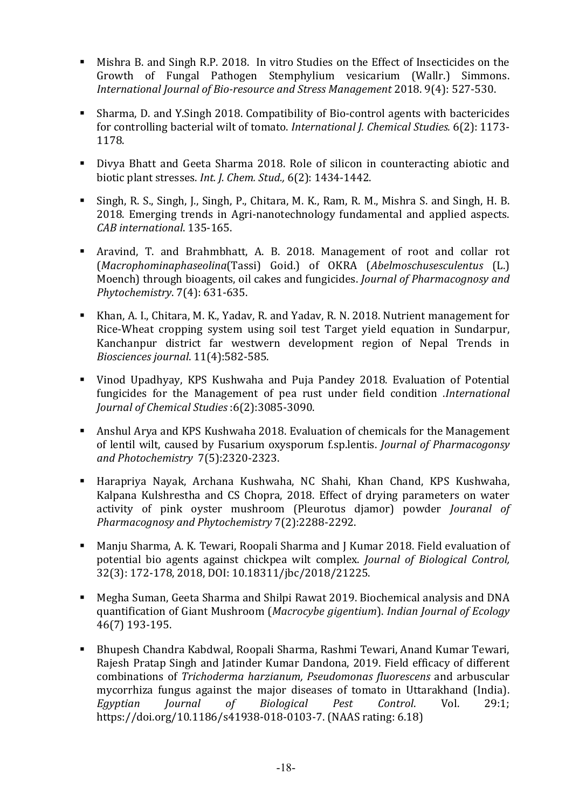- Mishra B. and Singh R.P. 2018. In vitro Studies on the Effect of Insecticides on the Growth of Fungal Pathogen Stemphylium vesicarium (Wallr.) Simmons. *International Journal of Bio-resource and Stress Management* 2018. 9(4): 527-530.
- Sharma, D. and Y.Singh 2018. Compatibility of Bio-control agents with bactericides for controlling bacterial wilt of tomato. *International J. Chemical Studies.* 6(2): 1173- 1178.
- Divya Bhatt and Geeta Sharma 2018. Role of silicon in counteracting abiotic and biotic plant stresses. *Int. J. Chem. Stud.,* 6(2): 1434-1442.
- Singh, R. S., Singh, J., Singh, P., Chitara, M. K., Ram, R. M., Mishra S. and Singh, H. B. 2018. Emerging trends in Agri-nanotechnology fundamental and applied aspects. *CAB international*. 135-165.
- Aravind, T. and Brahmbhatt, A. B. 2018. Management of root and collar rot (*Macrophominaphaseolina*(Tassi) Goid.) of OKRA (*Abelmoschusesculentus* (L.) Moench) through bioagents, oil cakes and fungicides. *Journal of Pharmacognosy and Phytochemistry*. 7(4): 631-635.
- Khan, A. I., Chitara, M. K., Yadav, R. and Yadav, R. N. 2018. Nutrient management for Rice-Wheat cropping system using soil test Target yield equation in Sundarpur, Kanchanpur district far westwern development region of Nepal Trends in *Biosciences journal*. 11(4):582-585.
- Vinod Upadhyay, KPS Kushwaha and Puja Pandey 2018. Evaluation of Potential fungicides for the Management of pea rust under field condition .*International Journal of Chemical Studies* :6(2):3085-3090.
- Anshul Arya and KPS Kushwaha 2018. Evaluation of chemicals for the Management of lentil wilt, caused by Fusarium oxysporum f.sp.lentis. *Journal of Pharmacogonsy and Photochemistry* 7(5):2320-2323.
- Harapriya Nayak, Archana Kushwaha, NC Shahi, Khan Chand, KPS Kushwaha, Kalpana Kulshrestha and CS Chopra, 2018. Effect of drying parameters on water activity of pink oyster mushroom (Pleurotus djamor) powder *Jouranal of Pharmacognosy and Phytochemistry* 7(2):2288-2292.
- Manju Sharma, A. K. Tewari, Roopali Sharma and J Kumar 2018. Field evaluation of potential bio agents against chickpea wilt complex. *Journal of Biological Control,*  32(3): 172-178, 2018, DOI: 10.18311/jbc/2018/21225.
- Megha Suman, Geeta Sharma and Shilpi Rawat 2019. Biochemical analysis and DNA quantification of Giant Mushroom (*Macrocybe gigentium*). *Indian Journal of Ecology* 46(7) 193-195.
- Bhupesh Chandra Kabdwal, Roopali Sharma, Rashmi Tewari, Anand Kumar Tewari, Rajesh Pratap Singh and Jatinder Kumar Dandona, 2019. Field efficacy of different combinations of *Trichoderma harzianum, Pseudomonas fluorescens* and arbuscular mycorrhiza fungus against the major diseases of tomato in Uttarakhand (India). *Egyptian Journal of Biological Pest Control*. Vol. 29:1; https://doi.org/10.1186/s41938-018-0103-7. (NAAS rating: 6.18)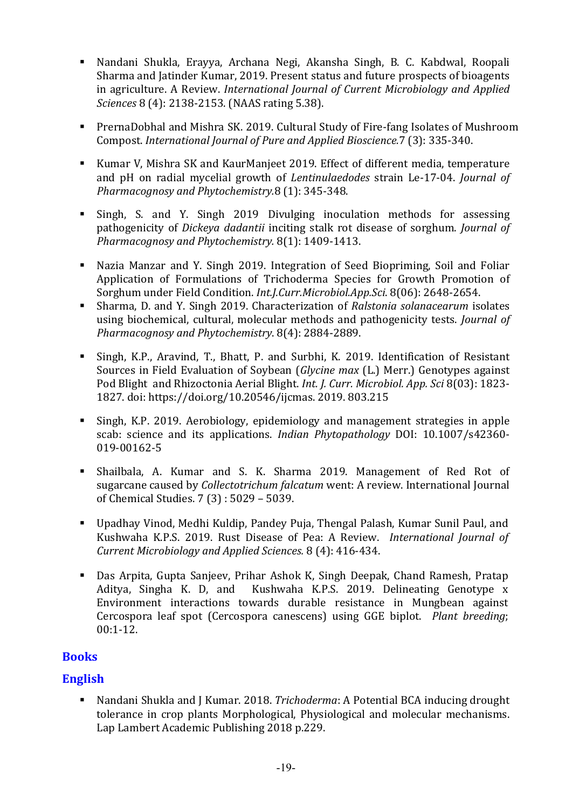- Nandani Shukla, Erayya, Archana Negi, Akansha Singh, B. C. Kabdwal, Roopali Sharma and Jatinder Kumar, 2019. Present status and future prospects of bioagents in agriculture. A Review. *International Journal of Current Microbiology and Applied Sciences* 8 (4): 2138-2153. (NAAS rating 5.38).
- PrernaDobhal and Mishra SK. 2019. Cultural Study of Fire-fang Isolates of Mushroom Compost. *International Journal of Pure and Applied Bioscience.*7 (3): 335-340.
- Kumar V, Mishra SK and KaurManjeet 2019. Effect of different media, temperature and pH on radial mycelial growth of *Lentinulaedodes* strain Le-17-04. *Journal of Pharmacognosy and Phytochemistry.*8 (1): 345-348.
- Singh, S. and Y. Singh 2019 Divulging inoculation methods for assessing pathogenicity of *Dickeya dadantii* inciting stalk rot disease of sorghum. *Journal of Pharmacognosy and Phytochemistry.* 8(1): 1409-1413.
- Nazia Manzar and Y. Singh 2019. Integration of Seed Biopriming, Soil and Foliar Application of Formulations of Trichoderma Species for Growth Promotion of Sorghum under Field Condition. *Int.J.Curr.Microbiol.App.Sci*. 8(06): 2648-2654.
- Sharma, D. and Y. Singh 2019. Characterization of *Ralstonia solanacearum* isolates using biochemical, cultural, molecular methods and pathogenicity tests. *Journal of Pharmacognosy and Phytochemistry*. 8(4): 2884-2889.
- Singh, K.P., Aravind, T., Bhatt, P. and Surbhi, K. 2019. Identification of Resistant Sources in Field Evaluation of Soybean (*Glycine max* (L.) Merr.) Genotypes against Pod Blight and Rhizoctonia Aerial Blight. *Int. J. Curr. Microbiol. App. Sci* 8(03): 1823- 1827. doi: https://doi.org/10.20546/ijcmas. 2019. 803.215
- Singh, K.P. 2019. Aerobiology, epidemiology and management strategies in apple scab: science and its applications. *Indian Phytopathology* DOI: 10.1007/s42360- 019-00162-5
- Shailbala, A. Kumar and S. K. Sharma 2019. Management of Red Rot of sugarcane caused by *Collectotrichum falcatum* went: A review. International Journal of Chemical Studies. 7 (3) : 5029 – 5039.
- Upadhay Vinod, Medhi Kuldip, Pandey Puja, Thengal Palash, Kumar Sunil Paul, and Kushwaha K.P.S. 2019. Rust Disease of Pea: A Review. *International Journal of Current Microbiology and Applied Sciences.* 8 (4): 416-434.
- Das Arpita, Gupta Sanjeev, Prihar Ashok K, Singh Deepak, Chand Ramesh, Pratap Aditya, Singha K. D, and Kushwaha K.P.S. 2019. Delineating Genotype x Environment interactions towards durable resistance in Mungbean against Cercospora leaf spot (Cercospora canescens) using GGE biplot. *Plant breeding*; 00:1-12.

# **Books**

# English

 Nandani Shukla and J Kumar. 2018. *Trichoderma*: A Potential BCA inducing drought tolerance in crop plants Morphological, Physiological and molecular mechanisms. Lap Lambert Academic Publishing 2018 p.229.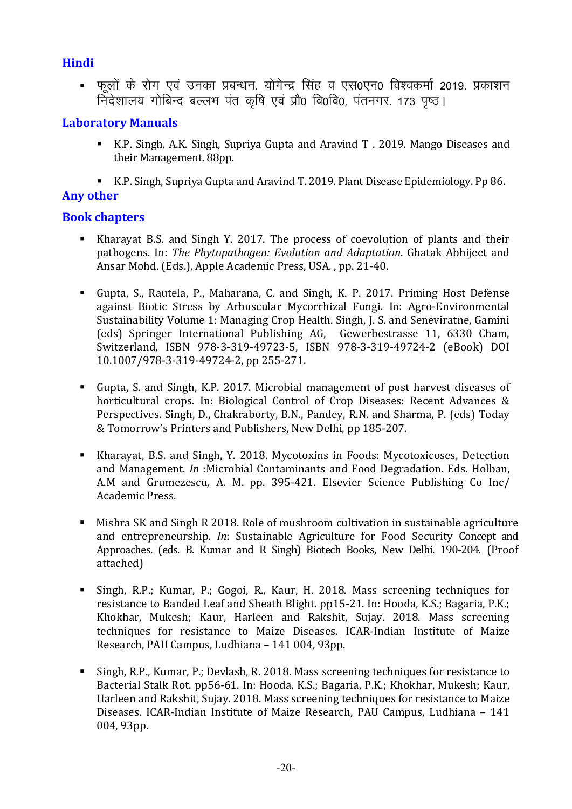# Hindi

. फलों के रोग एवं उनका प्रबन्धन, योगेन्द्र सिंह व एस0एन0 विश्वकर्मा 2019, प्रकाशन निदेशालय गोबिन्द बल्लभ पंत कृषि एवं प्रौ0 वि0वि0, पंतनगर. 173 पृष्ठ।

# Laboratory Manuals

- K.P. Singh, A.K. Singh, Supriya Gupta and Aravind T . 2019. Mango Diseases and their Management. 88pp.
- K.P. Singh, Supriya Gupta and Aravind T. 2019. Plant Disease Epidemiology. Pp 86.

# Any other

# Book chapters

- Kharayat B.S. and Singh Y. 2017. The process of coevolution of plants and their pathogens. In: *The Phytopathogen: Evolution and Adaptation*. Ghatak Abhijeet and Ansar Mohd. (Eds.), Apple Academic Press, USA. , pp. 21-40.
- Gupta, S., Rautela, P., Maharana, C. and Singh, K. P. 2017. Priming Host Defense against Biotic Stress by Arbuscular Mycorrhizal Fungi. In: Agro-Environmental Sustainability Volume 1: Managing Crop Health. Singh, J. S. and Seneviratne, Gamini (eds) Springer International Publishing AG, Gewerbestrasse 11, 6330 Cham, Switzerland, ISBN 978-3-319-49723-5, ISBN 978-3-319-49724-2 (eBook) DOI 10.1007/978-3-319-49724-2, pp 255-271.
- Gupta, S. and Singh, K.P. 2017. Microbial management of post harvest diseases of horticultural crops. In: Biological Control of Crop Diseases: Recent Advances & Perspectives. Singh, D., Chakraborty, B.N., Pandey, R.N. and Sharma, P. (eds) Today & Tomorrow's Printers and Publishers, New Delhi, pp 185-207.
- Kharayat, B.S. and Singh, Y. 2018. Mycotoxins in Foods: Mycotoxicoses, Detection and Management. *In* :Microbial Contaminants and Food Degradation. Eds. Holban, A.M and Grumezescu, A. M. pp. 395-421. Elsevier Science Publishing Co Inc/ Academic Press.
- Mishra SK and Singh R 2018. Role of mushroom cultivation in sustainable agriculture and entrepreneurship. *In*: Sustainable Agriculture for Food Security Concept and Approaches. (eds. B. Kumar and R Singh) Biotech Books, New Delhi. 190-204. (Proof attached)
- Singh, R.P.; Kumar, P.; Gogoi, R., Kaur, H. 2018. Mass screening techniques for resistance to Banded Leaf and Sheath Blight. pp15-21. In: Hooda, K.S.; Bagaria, P.K.; Khokhar, Mukesh; Kaur, Harleen and Rakshit, Sujay. 2018. Mass screening techniques for resistance to Maize Diseases. ICAR-Indian Institute of Maize Research, PAU Campus, Ludhiana – 141 004, 93pp.
- Singh, R.P., Kumar, P.; Devlash, R. 2018. Mass screening techniques for resistance to Bacterial Stalk Rot. pp56-61. In: Hooda, K.S.; Bagaria, P.K.; Khokhar, Mukesh; Kaur, Harleen and Rakshit, Sujay. 2018. Mass screening techniques for resistance to Maize Diseases. ICAR-Indian Institute of Maize Research, PAU Campus, Ludhiana – 141 004, 93pp.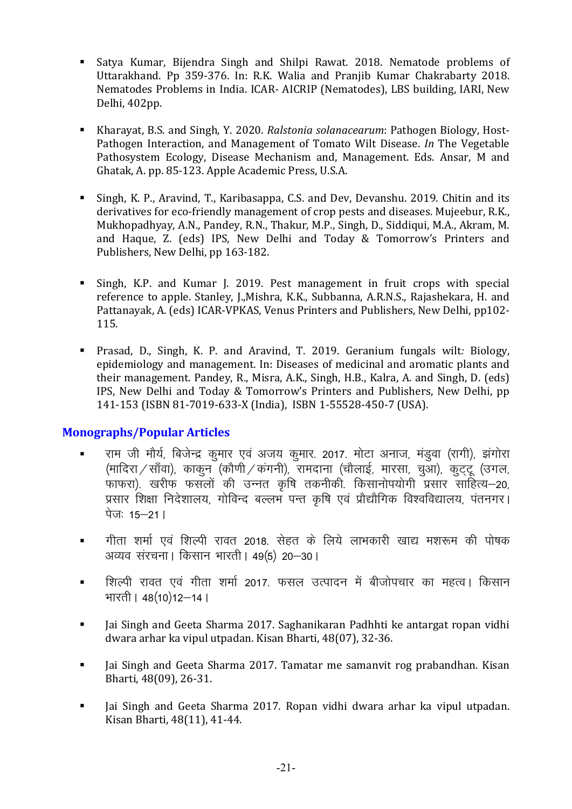- Satya Kumar, Bijendra Singh and Shilpi Rawat. 2018. Nematode problems of Uttarakhand. Pp 359-376. In: R.K. Walia and Pranjib Kumar Chakrabarty 2018. Nematodes Problems in India. ICAR- AICRIP (Nematodes), LBS building, IARI, New Delhi, 402pp.
- Kharayat, B.S. and Singh, Y. 2020. *Ralstonia solanacearum*: Pathogen Biology, Host-Pathogen Interaction, and Management of Tomato Wilt Disease. *In* The Vegetable Pathosystem Ecology, Disease Mechanism and, Management. Eds. Ansar, M and Ghatak, A. pp. 85-123. Apple Academic Press, U.S.A.
- Singh, K. P., Aravind, T., Karibasappa, C.S. and Dev, Devanshu. 2019. Chitin and its derivatives for eco-friendly management of crop pests and diseases. Mujeebur, R.K., Mukhopadhyay, A.N., Pandey, R.N., Thakur, M.P., Singh, D., Siddiqui, M.A., Akram, M. and Haque, Z. (eds) IPS, New Delhi and Today & Tomorrow's Printers and Publishers, New Delhi, pp 163-182.
- Singh, K.P. and Kumar J. 2019. Pest management in fruit crops with special reference to apple. Stanley, J.,Mishra, K.K., Subbanna, A.R.N.S., Rajashekara, H. and Pattanayak, A. (eds) ICAR-VPKAS, Venus Printers and Publishers, New Delhi, pp102- 115.
- Prasad, D., Singh, K. P. and Aravind, T. 2019. Geranium fungals wilt*:* Biology, epidemiology and management. In: Diseases of medicinal and aromatic plants and their management. Pandey, R., Misra, A.K., Singh, H.B., Kalra, A. and Singh, D. (eds) IPS, New Delhi and Today & Tomorrow's Printers and Publishers, New Delhi, pp 141-153 (ISBN 81-7019-633-X (India), ISBN 1-55528-450-7 (USA).

## Monographs/Popular Articles

- राम जी मौर्य, बिजेन्द्र कुमार एवं अजय कुमार. 2017. मोटा अनाज, मंडुवा (रागी), झंगोरा (मादिरा $\sqrt{$ साँवा), काकुन (कौणी $\sqrt{}$ कंगनी), रामदाना (चौलाई, मारसा, चुआ), कुट्टू (उगल, .<br>फाफरा) खरीफ फसलों की उन्नत कृषि तकनीकी किसानोपयोगी प्रसार साहित्य–20, .........<br>प्रसार शिक्षा निदेशालय, गोविन्द बल्लभ पन्त कृषि एवं प्रौद्यौगिक विश्वविद्यालय, पंतनगर। पेज: 15 $-211$
- **गीता शर्मा एवं शिल्पी रावत 2018. सेहत के लिये लाभकारी खाद्य मशरूम की पोषक** अव्यव संरचना । किसान भारती | 49(5) 20-30 |
- <u>■ शिल्पी रावत एवं गीता शर्मा 2017. फसल उत्पादन में बीजोपचार का महत्व। किसान</u> भारती । 48(10)12-14।
- Iai Singh and Geeta Sharma 2017. Saghanikaran Padhhti ke antargat ropan vidhi dwara arhar ka vipul utpadan. Kisan Bharti, 48(07), 32-36.
- I Jai Singh and Geeta Sharma 2017. Tamatar me samanvit rog prabandhan. Kisan Bharti, 48(09), 26-31.
- Iai Singh and Geeta Sharma 2017. Ropan vidhi dwara arhar ka vipul utpadan. Kisan Bharti, 48(11), 41-44.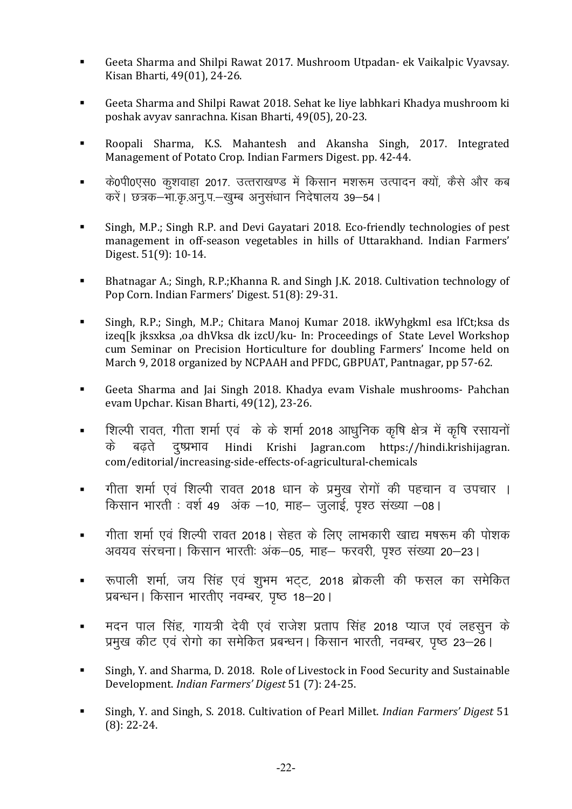- Geeta Sharma and Shilpi Rawat 2017. Mushroom Utpadan- ek Vaikalpic Vyavsay. Kisan Bharti, 49(01), 24-26.
- Geeta Sharma and Shilpi Rawat 2018. Sehat ke liye labhkari Khadya mushroom ki poshak avyav sanrachna. Kisan Bharti, 49(05), 20-23.
- Roopali Sharma, K.S. Mahantesh and Akansha Singh, 2017. Integrated Management of Potato Crop. Indian Farmers Digest. pp. 42-44.
- के0पी0एस0 कुशवाहा 2017. उत्तराखण्ड में किसान मशरूम उत्पादन क्यों, कैसे और कब करें। छत्रक–भा.कृ.अनु.प.–खुम्ब अनुसंधान निदेषालय 39–54।
- Singh, M.P.; Singh R.P. and Devi Gayatari 2018. Eco-friendly technologies of pest management in off-season vegetables in hills of Uttarakhand. Indian Farmers' Digest. 51(9): 10-14.
- Bhatnagar A.; Singh, R.P.;Khanna R. and Singh J.K. 2018. Cultivation technology of Pop Corn. Indian Farmers' Digest. 51(8): 29-31.
- Singh, R.P.; Singh, M.P.; Chitara Manoj Kumar 2018. ikWyhgkml esa lfCt;ksa ds izeq[k jksxksa ,oa dhVksa dk izcU/ku- In: Proceedings of State Level Workshop cum Seminar on Precision Horticulture for doubling Farmers' Income held on March 9, 2018 organized by NCPAAH and PFDC, GBPUAT, Pantnagar, pp 57-62.
- Geeta Sharma and Jai Singh 2018. Khadya evam Vishale mushrooms- Pahchan evam Upchar. Kisan Bharti, 49(12), 23-26.
- **•** शिल्पी रावत, गीता शर्मा एवं के के शर्मा 2018 आधुनिक कृषि क्षेत्र में कृषि रसायनों के बढते दुष्प्रभाव Hindi Krishi Jagran.com https://hindi.krishijagran. com/editorial/increasing-side-effects-of-agricultural-chemicals
- " गीता शर्मा एवं शिल्पी रावत 2018 धान के प्रमुख रोगों की पहचान व उपचार । किसान भारती : वर्श 49 अंक –10, माह– जुलाई, पृश्ठ संख्या –08 l
- गीता शर्मा एवं शिल्पी रावत 2018 | सेहत के लिए लाभकारी खाद्य मषरूम की पोशक अवयव संरचना | किसान भारतीः अंक–05, माह– फरवरी, पृश्ठ संख्या 20–23 |
- . रूपाली शर्मा, जय सिंह एवं शुभम भट्ट, 2018 ब्रोकली की फसल का समेकित .<br>प्रबन्धन। किसान भारतीए नवम्बर, पष्ठ 18–20।
- = मदन पाल सिंह, गायत्री देवी एवं राजेश प्रताप सिंह 2018 प्याज एवं लहसून के प्रमुख कीट एवं रोगो का समेकित प्रबन्धन। किसान भारती, नवम्बर, पृष्ठ 23–26।
- Singh, Y. and Sharma, D. 2018. Role of Livestock in Food Security and Sustainable Development. *Indian Farmers' Digest* 51 (7): 24-25.
- Singh, Y. and Singh, S. 2018. Cultivation of Pearl Millet. *Indian Farmers' Digest* 51 (8): 22-24.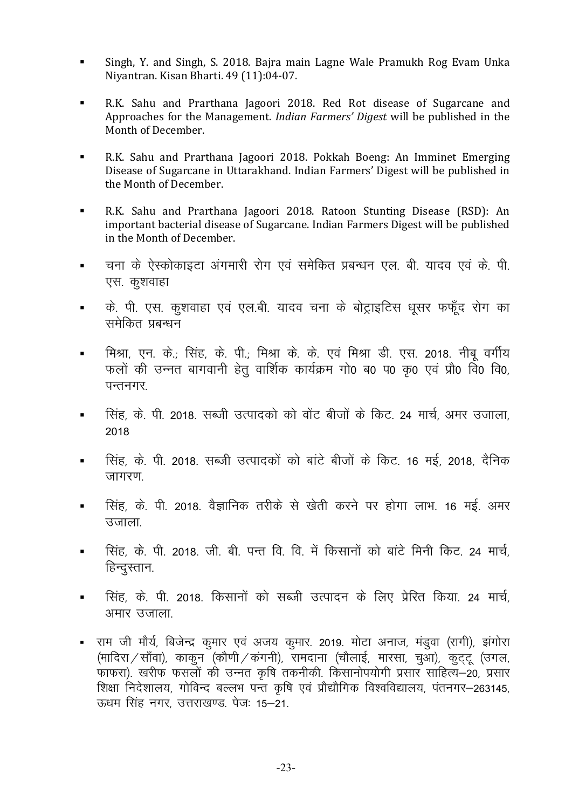- Singh, Y. and Singh, S. 2018. Bajra main Lagne Wale Pramukh Rog Evam Unka Niyantran. Kisan Bharti. 49 (11):04-07.
- R.K. Sahu and Prarthana Jagoori 2018. Red Rot disease of Sugarcane and Approaches for the Management. *Indian Farmers' Digest* will be published in the Month of December.
- R.K. Sahu and Prarthana Jagoori 2018. Pokkah Boeng: An Imminet Emerging Disease of Sugarcane in Uttarakhand. Indian Farmers' Digest will be published in the Month of December.
- R.K. Sahu and Prarthana Jagoori 2018. Ratoon Stunting Disease (RSD): An important bacterial disease of Sugarcane. Indian Farmers Digest will be published in the Month of December.
- <u>■ वचना के ऐस्कोकाइटा अंगमारी रोग एवं समेकित प्रबन्धन एल. बी. यादव एवं के. पी.</u> एस. कुशवाहा
- के. पी. एस. कुशवाहा एवं एल.बी. यादव चना के बोट्राइटिस धूसर फफूँद रोग का समेकित प्रबन्धन
- मिश्रा, एन. के.; सिंह, के. पी.; मिश्रा के. के. एवं मिश्रा डी. एस. 2018. नीबु वर्गीय फलों की उन्नत बागवानी हेतु वार्शिक कार्यक्रम गो0 ब0 प0 कृ0 एवं प्रौ0 वि0 वि0,  $\overline{u}$ न्तनगर
- सिंह, के. पी. 2018, सब्जी उत्पादको को वोंट बीजों के किट, 24 मार्च, अमर उजाला 2018
- " सिंह, के. पी. 2018, सब्जी उत्पादकों को बांटे बीजों के किट, 16 मई, 2018, दैनिक जागरण.
- सिंह, के. पी. 2018. वैज्ञानिक तरीके से खेती करने पर होगा लाभ. 16 मई. अमर उजाला
- **•** सिंह, के. पी. 2018. जी. बी. पन्त वि. वि. में किसानों को बांटे मिनी किट. 24 मार्च, हिन्दस्तान.
- <u>सिंह, के. पी. 2018. किसानों को सब्जी उत्पादन के लिए प्रेरित किया. 24 मार्च.</u> अमार उजाला
- राम जी मौर्य, बिजेन्द्र कुमार एवं अजय कुमार. 2019. मोटा अनाज, मंडुवा (रागी), झंगोरा (मादिरा / साँवा), काकुन (कौणी / कंगनी), रामदाना (चौलाई, मारसा, चुआ), कुटुटू (उगल, फाफरा). खरीफ फसलों की उन्नत कृषि तकनीकी. किसानोपयोगी प्रसार साहित्य–20, प्रसार शिक्षा निदेशालय, गोविन्द बल्लभ पन्त कृषि एवं प्रौद्यौगिक विश्वविद्यालय, पंतनगर–263145, ऊधम सिंह नगर, उत्तराखण्ड, पेजः 15-21.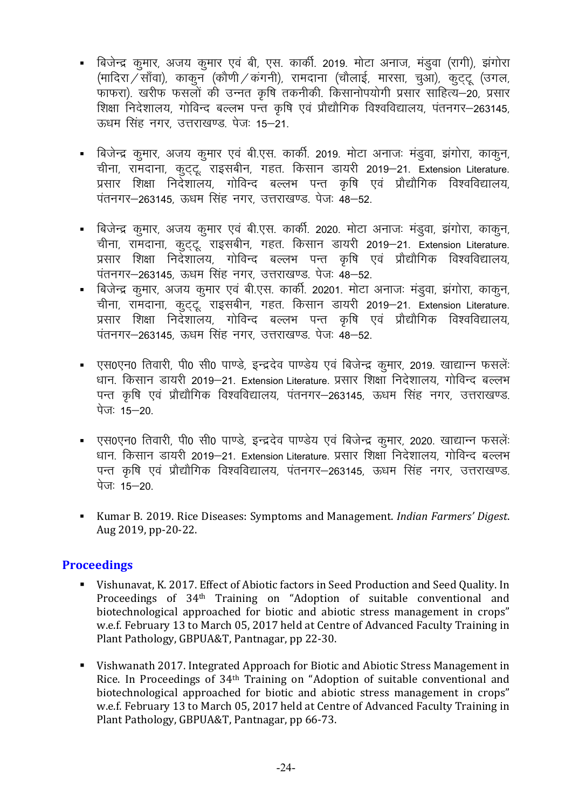- बिजेन्द्र कुमार, अजय कुमार एवं बी, एस. कार्की. 2019. मोटा अनाज, मंडुवा (रागी), झंगोरा (मादिरा $\widetilde{\sqrt{v}}$ साँवा), काकुन (कोणी $\sqrt{v}$ कंगनी), रामदाना (चौलाई, मारसा, चुआ), कुट्टू (उगल, white divided with the month in the most in the most in the most in the most in the most is depended to the co शिक्षा निदेशालय, गोविन्द बल्लभ पन्त कृषि एवं प्रौद्यौगिक विश्वविद्यालय, पंतनगर–263145, ऊधम सिंह नगर, उत्तराखण्ड, पेज: 15–21,
- बिजेन्द्र कुमार, अजय कुमार एवं बी.एस. कार्की. 2019. मोटा अनाजः मंडुवा, झंगोरा, काकुन, चीना, रामदाना, कुट्टू राइसबीन, गहत. किसान डायरी 2019–21. Extension Literature. प्रसार शिक्षा निर्देशालय, गोविन्द बल्लभ पन्त कृषि एवं प्रौद्यौगिक विश्वविद्यालय, पंतनगर-263145. ऊधम सिंह नगर. उत्तराखण्ड. पेजः 48-52.
- बिजेन्द्र कुमार, अजय कुमार एवं बी.एस. कार्की. 2020. मोटा अनाजः मंडुवा, झंगोरा, काकुन, चीना, रामदाना, कुट्टू राइसबीन, गहत. किसान डायरी 2019–21. Extension Literature. प्रसार शिक्षा निर्देशालय, गोविन्द बल्लभ पन्त कृषि एवं प्रौद्यौगिक विश्वविद्यालय, पंतनगर-263145, ऊधम सिंह नगर, उत्तराखण्ड. पेजः 48-52.
- बिजेन्द्र कुमार, अजय कुमार एवं बी.एस. कार्की. 20201. मोटा अनाजः मंडुवा, झंगोरा, काकुन, चीना, रामदाना, कुट्टू राइसबीन, गहत. किसान डायरी 2019–21. Extension Literature. प्रसार शिक्षा निर्देशालय, गोविन्द बल्लभ पन्त कृषि एवं प्रौद्यौगिक विश्वविद्यालय, पंतनगर-263145, ऊधम सिंह नगर, उत्तराखण्ड, पेजः 48-52,
- एस0एन0 तिवारी, पी0 सी0 पाण्डे, इन्द्रदेव पाण्डेय एवं बिजेन्द्र कुमार, 2019. खाद्यान्न फसलेंः धान. किसान डायरी 2019-21. Extension Literature. प्रसार शिक्षा निदेशालय, गोविन्द बल्लभ पन्त कृषि एवं प्रौद्यौगिक विश्वविद्यालय, पंतनगर–263145, ऊधम सिंह नगर, उत्तराखण्ड. पेजः  $15 - 20$
- एस0एन0 तिवारी, पी0 सी0 पाण्डे, इन्द्रदेव पाण्डेय एवं बिजेन्द्र कुमार, 2020. खाद्यान्न फसलेंः धान. किसान डायरी 2019–21. Extension Literature. प्रसार शिक्षा निदेशालय, गोविन्द बल्लभ पन्त कृषि एवं प्रौद्यौगिक विश्वविद्यालय, पंतनगर–263145, ऊधम सिंह नगर, उत्तराखण्ड. पेज:  $15 - 20$
- Kumar B. 2019. Rice Diseases: Symptoms and Management. *Indian Farmers' Digest*. Aug 2019, pp-20-22.

# **Proceedings**

- Vishunavat, K. 2017. Effect of Abiotic factors in Seed Production and Seed Quality. In Proceedings of 34th Training on "Adoption of suitable conventional and biotechnological approached for biotic and abiotic stress management in crops" w.e.f. February 13 to March 05, 2017 held at Centre of Advanced Faculty Training in Plant Pathology, GBPUA&T, Pantnagar, pp 22-30.
- Vishwanath 2017. Integrated Approach for Biotic and Abiotic Stress Management in Rice. In Proceedings of 34th Training on "Adoption of suitable conventional and biotechnological approached for biotic and abiotic stress management in crops" w.e.f. February 13 to March 05, 2017 held at Centre of Advanced Faculty Training in Plant Pathology, GBPUA&T, Pantnagar, pp 66-73.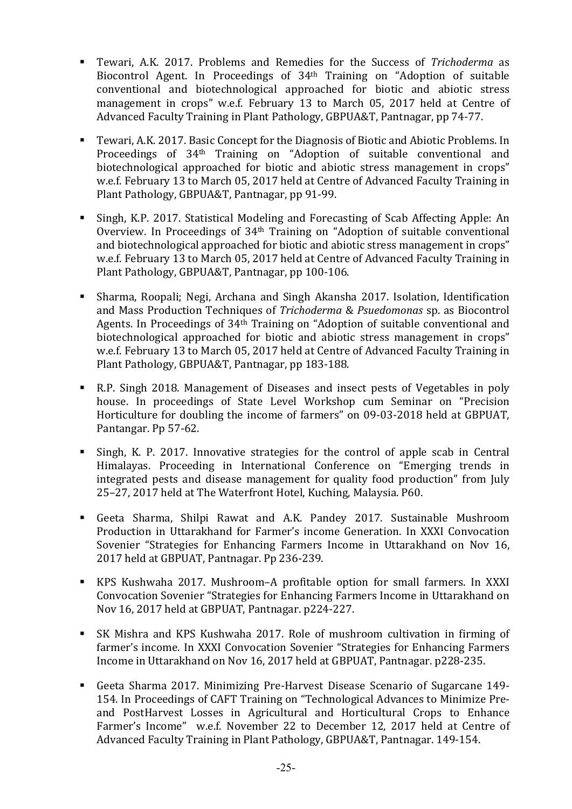- Tewari, A.K. 2017. Problems and Remedies for the Success of *Trichoderma* as Biocontrol Agent. In Proceedings of 34th Training on "Adoption of suitable conventional and biotechnological approached for biotic and abiotic stress management in crops" w.e.f. February 13 to March 05, 2017 held at Centre of Advanced Faculty Training in Plant Pathology, GBPUA&T, Pantnagar, pp 74-77.
- Tewari, A.K. 2017. Basic Concept for the Diagnosis of Biotic and Abiotic Problems. In Proceedings of 34th Training on "Adoption of suitable conventional and biotechnological approached for biotic and abiotic stress management in crops" w.e.f. February 13 to March 05, 2017 held at Centre of Advanced Faculty Training in Plant Pathology, GBPUA&T, Pantnagar, pp 91-99.
- Singh, K.P. 2017. Statistical Modeling and Forecasting of Scab Affecting Apple: An Overview. In Proceedings of 34th Training on "Adoption of suitable conventional and biotechnological approached for biotic and abiotic stress management in crops" w.e.f. February 13 to March 05, 2017 held at Centre of Advanced Faculty Training in Plant Pathology, GBPUA&T, Pantnagar, pp 100-106.
- Sharma, Roopali; Negi, Archana and Singh Akansha 2017. Isolation, Identification and Mass Production Techniques of *Trichoderma* & *Psuedomonas* sp. as Biocontrol Agents. In Proceedings of 34th Training on "Adoption of suitable conventional and biotechnological approached for biotic and abiotic stress management in crops" w.e.f. February 13 to March 05, 2017 held at Centre of Advanced Faculty Training in Plant Pathology, GBPUA&T, Pantnagar, pp 183-188.
- R.P. Singh 2018. Management of Diseases and insect pests of Vegetables in poly house. In proceedings of State Level Workshop cum Seminar on "Precision Horticulture for doubling the income of farmers" on 09-03-2018 held at GBPUAT, Pantangar. Pp 57-62.
- Singh, K. P. 2017. Innovative strategies for the control of apple scab in Central Himalayas. Proceeding in International Conference on "Emerging trends in integrated pests and disease management for quality food production" from July 25–27, 2017 held at The Waterfront Hotel, Kuching, Malaysia. P60.
- Geeta Sharma, Shilpi Rawat and A.K. Pandey 2017. Sustainable Mushroom Production in Uttarakhand for Farmer's income Generation. In XXXI Convocation Sovenier "Strategies for Enhancing Farmers Income in Uttarakhand on Nov 16, 2017 held at GBPUAT, Pantnagar. Pp 236-239.
- KPS Kushwaha 2017. Mushroom–A profitable option for small farmers. In XXXI Convocation Sovenier "Strategies for Enhancing Farmers Income in Uttarakhand on Nov 16, 2017 held at GBPUAT, Pantnagar. p224-227.
- SK Mishra and KPS Kushwaha 2017. Role of mushroom cultivation in firming of farmer's income. In XXXI Convocation Sovenier "Strategies for Enhancing Farmers Income in Uttarakhand on Nov 16, 2017 held at GBPUAT, Pantnagar. p228-235.
- Geeta Sharma 2017. Minimizing Pre-Harvest Disease Scenario of Sugarcane 149- 154. In Proceedings of CAFT Training on "Technological Advances to Minimize Preand PostHarvest Losses in Agricultural and Horticultural Crops to Enhance Farmer's Income" w.e.f. November 22 to December 12, 2017 held at Centre of Advanced Faculty Training in Plant Pathology, GBPUA&T, Pantnagar. 149-154.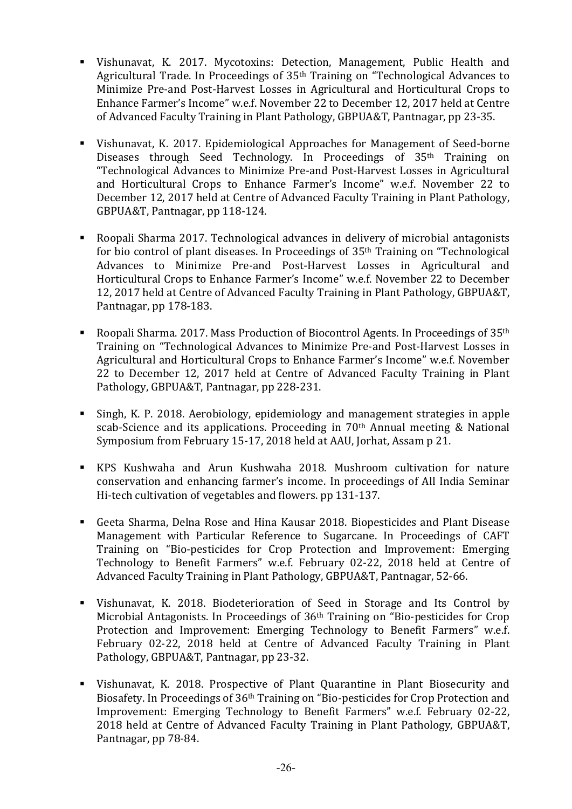- Vishunavat, K. 2017. Mycotoxins: Detection, Management, Public Health and Agricultural Trade. In Proceedings of 35th Training on "Technological Advances to Minimize Pre-and Post-Harvest Losses in Agricultural and Horticultural Crops to Enhance Farmer's Income" w.e.f. November 22 to December 12, 2017 held at Centre of Advanced Faculty Training in Plant Pathology, GBPUA&T, Pantnagar, pp 23-35.
- Vishunavat, K. 2017. Epidemiological Approaches for Management of Seed-borne Diseases through Seed Technology. In Proceedings of 35<sup>th</sup> Training on "Technological Advances to Minimize Pre-and Post-Harvest Losses in Agricultural and Horticultural Crops to Enhance Farmer's Income" w.e.f. November 22 to December 12, 2017 held at Centre of Advanced Faculty Training in Plant Pathology, GBPUA&T, Pantnagar, pp 118-124.
- Roopali Sharma 2017. Technological advances in delivery of microbial antagonists for bio control of plant diseases. In Proceedings of 35th Training on "Technological Advances to Minimize Pre-and Post-Harvest Losses in Agricultural and Horticultural Crops to Enhance Farmer's Income" w.e.f. November 22 to December 12, 2017 held at Centre of Advanced Faculty Training in Plant Pathology, GBPUA&T, Pantnagar, pp 178-183.
- Roopali Sharma, 2017. Mass Production of Biocontrol Agents. In Proceedings of  $35<sup>th</sup>$ Training on "Technological Advances to Minimize Pre-and Post-Harvest Losses in Agricultural and Horticultural Crops to Enhance Farmer's Income" w.e.f. November 22 to December 12, 2017 held at Centre of Advanced Faculty Training in Plant Pathology, GBPUA&T, Pantnagar, pp 228-231.
- Singh, K. P. 2018. Aerobiology, epidemiology and management strategies in apple scab-Science and its applications. Proceeding in 70th Annual meeting & National Symposium from February 15-17, 2018 held at AAU, Jorhat, Assam p 21.
- KPS Kushwaha and Arun Kushwaha 2018. Mushroom cultivation for nature conservation and enhancing farmer's income. In proceedings of All India Seminar Hi-tech cultivation of vegetables and flowers. pp 131-137.
- Geeta Sharma, Delna Rose and Hina Kausar 2018. Biopesticides and Plant Disease Management with Particular Reference to Sugarcane. In Proceedings of CAFT Training on "Bio-pesticides for Crop Protection and Improvement: Emerging Technology to Benefit Farmers" w.e.f. February 02-22, 2018 held at Centre of Advanced Faculty Training in Plant Pathology, GBPUA&T, Pantnagar, 52-66.
- Vishunavat, K. 2018. Biodeterioration of Seed in Storage and Its Control by Microbial Antagonists. In Proceedings of 36th Training on "Bio-pesticides for Crop Protection and Improvement: Emerging Technology to Benefit Farmers" w.e.f. February 02-22, 2018 held at Centre of Advanced Faculty Training in Plant Pathology, GBPUA&T, Pantnagar, pp 23-32.
- Vishunavat, K. 2018. Prospective of Plant Quarantine in Plant Biosecurity and Biosafety. In Proceedings of 36th Training on "Bio-pesticides for Crop Protection and Improvement: Emerging Technology to Benefit Farmers" w.e.f. February 02-22, 2018 held at Centre of Advanced Faculty Training in Plant Pathology, GBPUA&T, Pantnagar, pp 78-84.